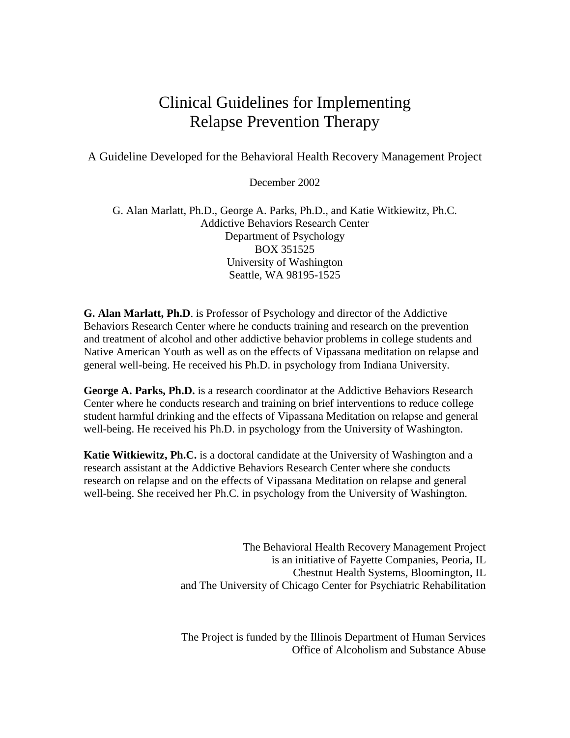# Clinical Guidelines for Implementing Relapse Prevention Therapy

A Guideline Developed for the Behavioral Health Recovery Management Project

December 2002

G. Alan Marlatt, Ph.D., George A. Parks, Ph.D., and Katie Witkiewitz, Ph.C. Addictive Behaviors Research Center Department of Psychology BOX 351525 University of Washington Seattle, WA 98195-1525

**G. Alan Marlatt, Ph.D**. is Professor of Psychology and director of the Addictive Behaviors Research Center where he conducts training and research on the prevention and treatment of alcohol and other addictive behavior problems in college students and Native American Youth as well as on the effects of Vipassana meditation on relapse and general well-being. He received his Ph.D. in psychology from Indiana University.

**George A. Parks, Ph.D.** is a research coordinator at the Addictive Behaviors Research Center where he conducts research and training on brief interventions to reduce college student harmful drinking and the effects of Vipassana Meditation on relapse and general well-being. He received his Ph.D. in psychology from the University of Washington.

**Katie Witkiewitz, Ph.C.** is a doctoral candidate at the University of Washington and a research assistant at the Addictive Behaviors Research Center where she conducts research on relapse and on the effects of Vipassana Meditation on relapse and general well-being. She received her Ph.C. in psychology from the University of Washington.

> The Behavioral Health Recovery Management Project is an initiative of Fayette Companies, Peoria, IL Chestnut Health Systems, Bloomington, IL and The University of Chicago Center for Psychiatric Rehabilitation

> The Project is funded by the Illinois Department of Human Services Office of Alcoholism and Substance Abuse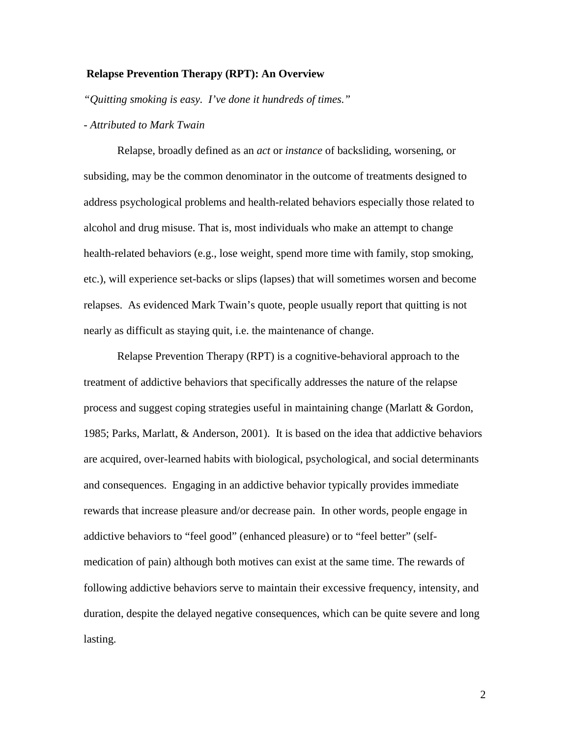#### **Relapse Prevention Therapy (RPT): An Overview**

*"Quitting smoking is easy. I've done it hundreds of times."*

## *- Attributed to Mark Twain*

Relapse, broadly defined as an *act* or *instance* of backsliding, worsening, or subsiding, may be the common denominator in the outcome of treatments designed to address psychological problems and health-related behaviors especially those related to alcohol and drug misuse. That is, most individuals who make an attempt to change health-related behaviors (e.g., lose weight, spend more time with family, stop smoking, etc.), will experience set-backs or slips (lapses) that will sometimes worsen and become relapses. As evidenced Mark Twain's quote, people usually report that quitting is not nearly as difficult as staying quit, i.e. the maintenance of change.

Relapse Prevention Therapy (RPT) is a cognitive-behavioral approach to the treatment of addictive behaviors that specifically addresses the nature of the relapse process and suggest coping strategies useful in maintaining change (Marlatt & Gordon, 1985; Parks, Marlatt, & Anderson, 2001). It is based on the idea that addictive behaviors are acquired, over-learned habits with biological, psychological, and social determinants and consequences. Engaging in an addictive behavior typically provides immediate rewards that increase pleasure and/or decrease pain. In other words, people engage in addictive behaviors to "feel good" (enhanced pleasure) or to "feel better" (selfmedication of pain) although both motives can exist at the same time. The rewards of following addictive behaviors serve to maintain their excessive frequency, intensity, and duration, despite the delayed negative consequences, which can be quite severe and long lasting.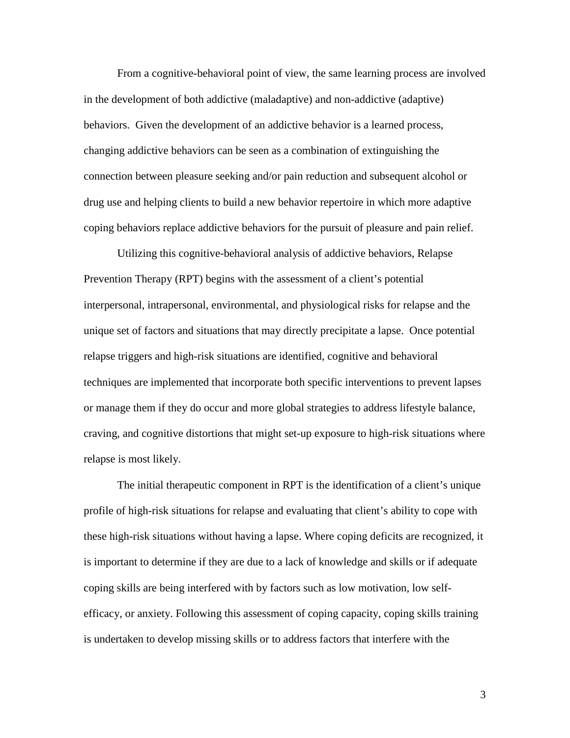From a cognitive-behavioral point of view, the same learning process are involved in the development of both addictive (maladaptive) and non-addictive (adaptive) behaviors. Given the development of an addictive behavior is a learned process, changing addictive behaviors can be seen as a combination of extinguishing the connection between pleasure seeking and/or pain reduction and subsequent alcohol or drug use and helping clients to build a new behavior repertoire in which more adaptive coping behaviors replace addictive behaviors for the pursuit of pleasure and pain relief.

Utilizing this cognitive-behavioral analysis of addictive behaviors, Relapse Prevention Therapy (RPT) begins with the assessment of a client's potential interpersonal, intrapersonal, environmental, and physiological risks for relapse and the unique set of factors and situations that may directly precipitate a lapse. Once potential relapse triggers and high-risk situations are identified, cognitive and behavioral techniques are implemented that incorporate both specific interventions to prevent lapses or manage them if they do occur and more global strategies to address lifestyle balance, craving, and cognitive distortions that might set-up exposure to high-risk situations where relapse is most likely.

The initial therapeutic component in RPT is the identification of a client's unique profile of high-risk situations for relapse and evaluating that client's ability to cope with these high-risk situations without having a lapse. Where coping deficits are recognized, it is important to determine if they are due to a lack of knowledge and skills or if adequate coping skills are being interfered with by factors such as low motivation, low selfefficacy, or anxiety. Following this assessment of coping capacity, coping skills training is undertaken to develop missing skills or to address factors that interfere with the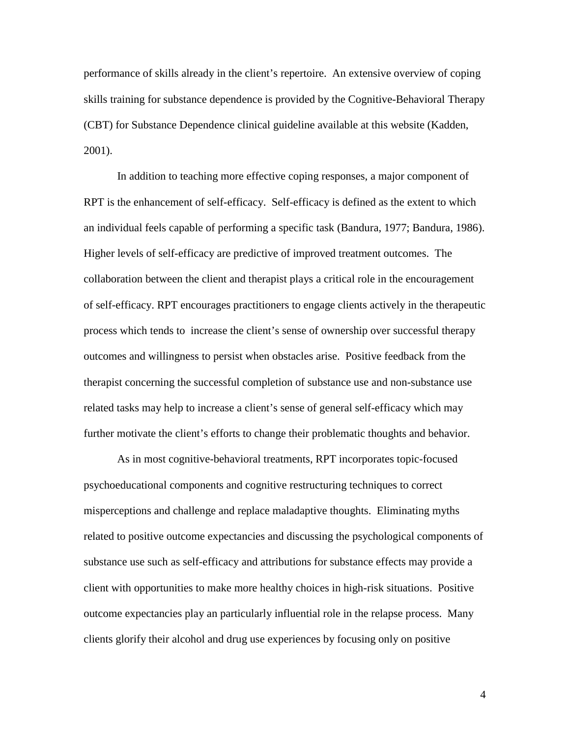performance of skills already in the client's repertoire. An extensive overview of coping skills training for substance dependence is provided by the Cognitive-Behavioral Therapy (CBT) for Substance Dependence clinical guideline available at this website (Kadden, 2001).

In addition to teaching more effective coping responses, a major component of RPT is the enhancement of self-efficacy. Self-efficacy is defined as the extent to which an individual feels capable of performing a specific task (Bandura, 1977; Bandura, 1986). Higher levels of self-efficacy are predictive of improved treatment outcomes. The collaboration between the client and therapist plays a critical role in the encouragement of self-efficacy. RPT encourages practitioners to engage clients actively in the therapeutic process which tends to increase the client's sense of ownership over successful therapy outcomes and willingness to persist when obstacles arise. Positive feedback from the therapist concerning the successful completion of substance use and non-substance use related tasks may help to increase a client's sense of general self-efficacy which may further motivate the client's efforts to change their problematic thoughts and behavior.

As in most cognitive-behavioral treatments, RPT incorporates topic-focused psychoeducational components and cognitive restructuring techniques to correct misperceptions and challenge and replace maladaptive thoughts. Eliminating myths related to positive outcome expectancies and discussing the psychological components of substance use such as self-efficacy and attributions for substance effects may provide a client with opportunities to make more healthy choices in high-risk situations. Positive outcome expectancies play an particularly influential role in the relapse process. Many clients glorify their alcohol and drug use experiences by focusing only on positive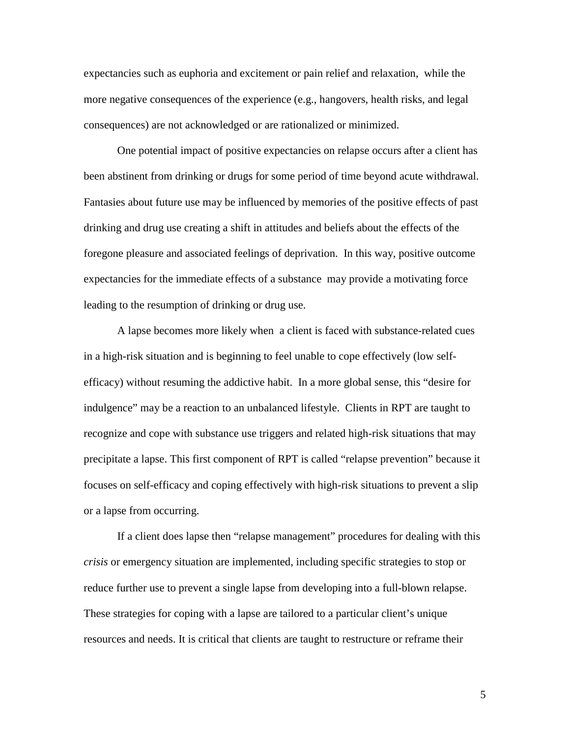expectancies such as euphoria and excitement or pain relief and relaxation, while the more negative consequences of the experience (e.g., hangovers, health risks, and legal consequences) are not acknowledged or are rationalized or minimized.

One potential impact of positive expectancies on relapse occurs after a client has been abstinent from drinking or drugs for some period of time beyond acute withdrawal. Fantasies about future use may be influenced by memories of the positive effects of past drinking and drug use creating a shift in attitudes and beliefs about the effects of the foregone pleasure and associated feelings of deprivation. In this way, positive outcome expectancies for the immediate effects of a substance may provide a motivating force leading to the resumption of drinking or drug use.

A lapse becomes more likely when a client is faced with substance-related cues in a high-risk situation and is beginning to feel unable to cope effectively (low selfefficacy) without resuming the addictive habit. In a more global sense, this "desire for indulgence" may be a reaction to an unbalanced lifestyle. Clients in RPT are taught to recognize and cope with substance use triggers and related high-risk situations that may precipitate a lapse. This first component of RPT is called "relapse prevention" because it focuses on self-efficacy and coping effectively with high-risk situations to prevent a slip or a lapse from occurring.

If a client does lapse then "relapse management" procedures for dealing with this *crisis* or emergency situation are implemented, including specific strategies to stop or reduce further use to prevent a single lapse from developing into a full-blown relapse. These strategies for coping with a lapse are tailored to a particular client's unique resources and needs. It is critical that clients are taught to restructure or reframe their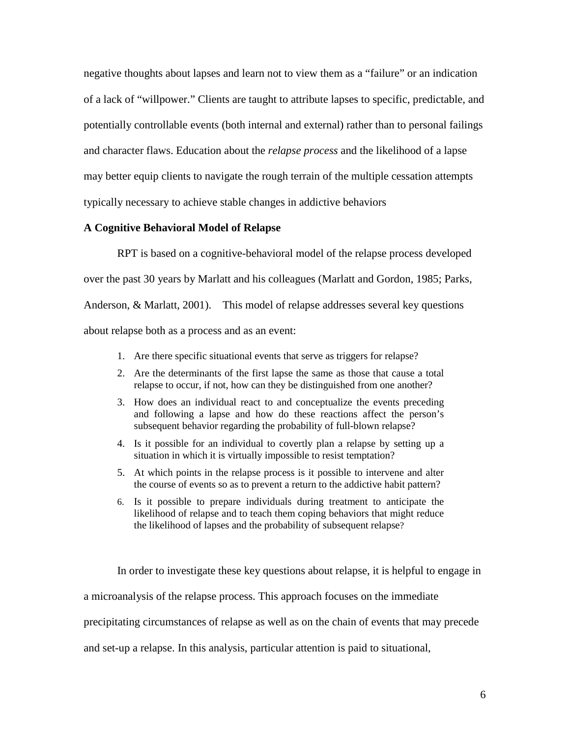negative thoughts about lapses and learn not to view them as a "failure" or an indication of a lack of "willpower." Clients are taught to attribute lapses to specific, predictable, and potentially controllable events (both internal and external) rather than to personal failings and character flaws. Education about the *relapse process* and the likelihood of a lapse may better equip clients to navigate the rough terrain of the multiple cessation attempts typically necessary to achieve stable changes in addictive behaviors

## **A Cognitive Behavioral Model of Relapse**

RPT is based on a cognitive-behavioral model of the relapse process developed over the past 30 years by Marlatt and his colleagues (Marlatt and Gordon, 1985; Parks, Anderson, & Marlatt, 2001). This model of relapse addresses several key questions about relapse both as a process and as an event:

- 1. Are there specific situational events that serve as triggers for relapse?
- 2. Are the determinants of the first lapse the same as those that cause a total relapse to occur, if not, how can they be distinguished from one another?
- 3. How does an individual react to and conceptualize the events preceding and following a lapse and how do these reactions affect the person's subsequent behavior regarding the probability of full-blown relapse?
- 4. Is it possible for an individual to covertly plan a relapse by setting up a situation in which it is virtually impossible to resist temptation?
- 5. At which points in the relapse process is it possible to intervene and alter the course of events so as to prevent a return to the addictive habit pattern?
- 6. Is it possible to prepare individuals during treatment to anticipate the likelihood of relapse and to teach them coping behaviors that might reduce the likelihood of lapses and the probability of subsequent relapse?

In order to investigate these key questions about relapse, it is helpful to engage in

a microanalysis of the relapse process. This approach focuses on the immediate

precipitating circumstances of relapse as well as on the chain of events that may precede

and set-up a relapse. In this analysis, particular attention is paid to situational,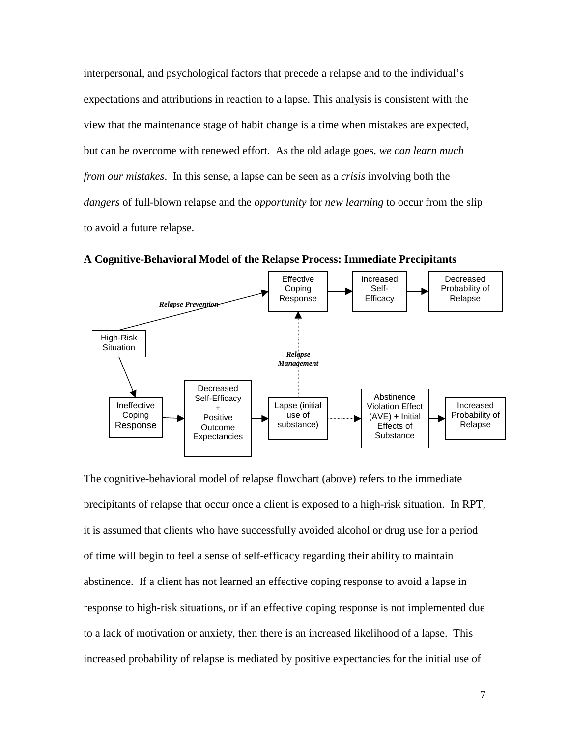interpersonal, and psychological factors that precede a relapse and to the individual's expectations and attributions in reaction to a lapse. This analysis is consistent with the view that the maintenance stage of habit change is a time when mistakes are expected, but can be overcome with renewed effort. As the old adage goes, *we can learn much from our mistakes*. In this sense, a lapse can be seen as a *crisis* involving both the *dangers* of full-blown relapse and the *opportunity* for *new learning* to occur from the slip to avoid a future relapse.



**A Cognitive-Behavioral Model of the Relapse Process: Immediate Precipitants**

The cognitive-behavioral model of relapse flowchart (above) refers to the immediate precipitants of relapse that occur once a client is exposed to a high-risk situation. In RPT, it is assumed that clients who have successfully avoided alcohol or drug use for a period of time will begin to feel a sense of self-efficacy regarding their ability to maintain abstinence. If a client has not learned an effective coping response to avoid a lapse in response to high-risk situations, or if an effective coping response is not implemented due to a lack of motivation or anxiety, then there is an increased likelihood of a lapse. This increased probability of relapse is mediated by positive expectancies for the initial use of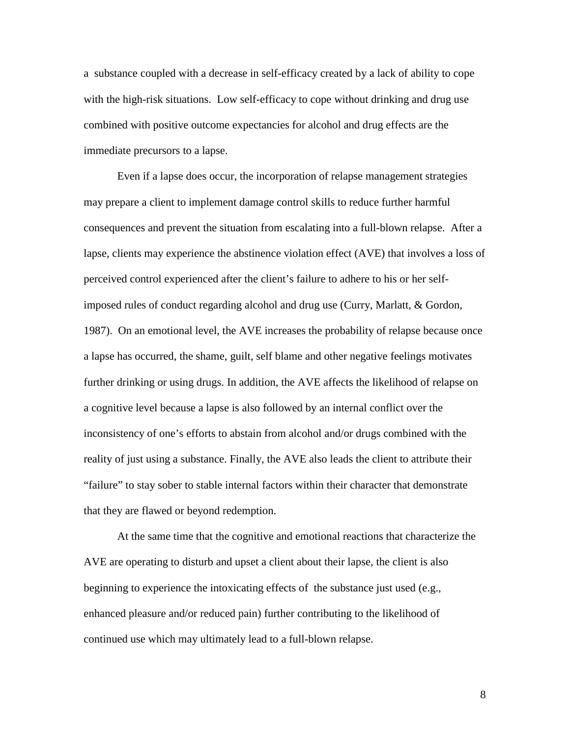a substance coupled with a decrease in self-efficacy created by a lack of ability to cope with the high-risk situations. Low self-efficacy to cope without drinking and drug use combined with positive outcome expectancies for alcohol and drug effects are the immediate precursors to a lapse.

Even if a lapse does occur, the incorporation of relapse management strategies may prepare a client to implement damage control skills to reduce further harmful consequences and prevent the situation from escalating into a full-blown relapse. After a lapse, clients may experience the abstinence violation effect (AVE) that involves a loss of perceived control experienced after the client's failure to adhere to his or her selfimposed rules of conduct regarding alcohol and drug use (Curry, Marlatt, & Gordon, 1987). On an emotional level, the AVE increases the probability of relapse because once a lapse has occurred, the shame, guilt, self blame and other negative feelings motivates further drinking or using drugs. In addition, the AVE affects the likelihood of relapse on a cognitive level because a lapse is also followed by an internal conflict over the inconsistency of one's efforts to abstain from alcohol and/or drugs combined with the reality of just using a substance. Finally, the AVE also leads the client to attribute their "failure" to stay sober to stable internal factors within their character that demonstrate that they are flawed or beyond redemption.

At the same time that the cognitive and emotional reactions that characterize the AVE are operating to disturb and upset a client about their lapse, the client is also beginning to experience the intoxicating effects of the substance just used (e.g., enhanced pleasure and/or reduced pain) further contributing to the likelihood of continued use which may ultimately lead to a full-blown relapse.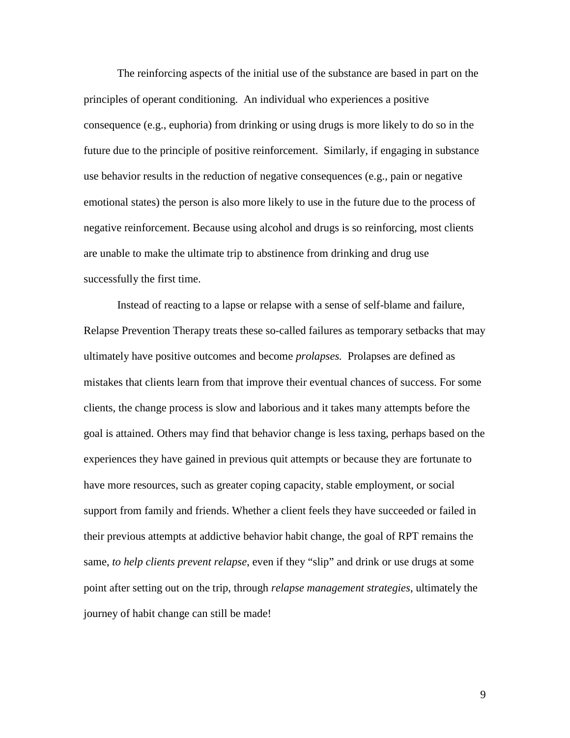The reinforcing aspects of the initial use of the substance are based in part on the principles of operant conditioning. An individual who experiences a positive consequence (e.g., euphoria) from drinking or using drugs is more likely to do so in the future due to the principle of positive reinforcement. Similarly, if engaging in substance use behavior results in the reduction of negative consequences (e.g., pain or negative emotional states) the person is also more likely to use in the future due to the process of negative reinforcement. Because using alcohol and drugs is so reinforcing, most clients are unable to make the ultimate trip to abstinence from drinking and drug use successfully the first time.

Instead of reacting to a lapse or relapse with a sense of self-blame and failure, Relapse Prevention Therapy treats these so-called failures as temporary setbacks that may ultimately have positive outcomes and become *prolapses.* Prolapses are defined as mistakes that clients learn from that improve their eventual chances of success. For some clients, the change process is slow and laborious and it takes many attempts before the goal is attained. Others may find that behavior change is less taxing, perhaps based on the experiences they have gained in previous quit attempts or because they are fortunate to have more resources, such as greater coping capacity, stable employment, or social support from family and friends. Whether a client feels they have succeeded or failed in their previous attempts at addictive behavior habit change, the goal of RPT remains the same, *to help clients prevent relapse*, even if they "slip" and drink or use drugs at some point after setting out on the trip, through *relapse management strategies*, ultimately the journey of habit change can still be made!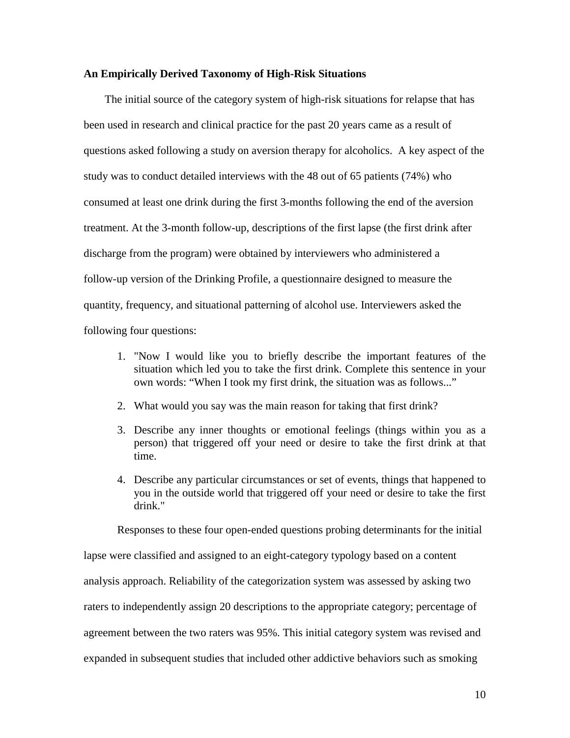#### **An Empirically Derived Taxonomy of High-Risk Situations**

The initial source of the category system of high-risk situations for relapse that has been used in research and clinical practice for the past 20 years came as a result of questions asked following a study on aversion therapy for alcoholics. A key aspect of the study was to conduct detailed interviews with the 48 out of 65 patients (74%) who consumed at least one drink during the first 3-months following the end of the aversion treatment. At the 3-month follow-up, descriptions of the first lapse (the first drink after discharge from the program) were obtained by interviewers who administered a follow-up version of the Drinking Profile, a questionnaire designed to measure the quantity, frequency, and situational patterning of alcohol use. Interviewers asked the following four questions:

- 1. "Now I would like you to briefly describe the important features of the situation which led you to take the first drink. Complete this sentence in your own words: "When I took my first drink, the situation was as follows..."
- 2. What would you say was the main reason for taking that first drink?
- 3. Describe any inner thoughts or emotional feelings (things within you as a person) that triggered off your need or desire to take the first drink at that time.
- 4. Describe any particular circumstances or set of events, things that happened to you in the outside world that triggered off your need or desire to take the first drink."

Responses to these four open-ended questions probing determinants for the initial

lapse were classified and assigned to an eight-category typology based on a content analysis approach. Reliability of the categorization system was assessed by asking two raters to independently assign 20 descriptions to the appropriate category; percentage of agreement between the two raters was 95%. This initial category system was revised and expanded in subsequent studies that included other addictive behaviors such as smoking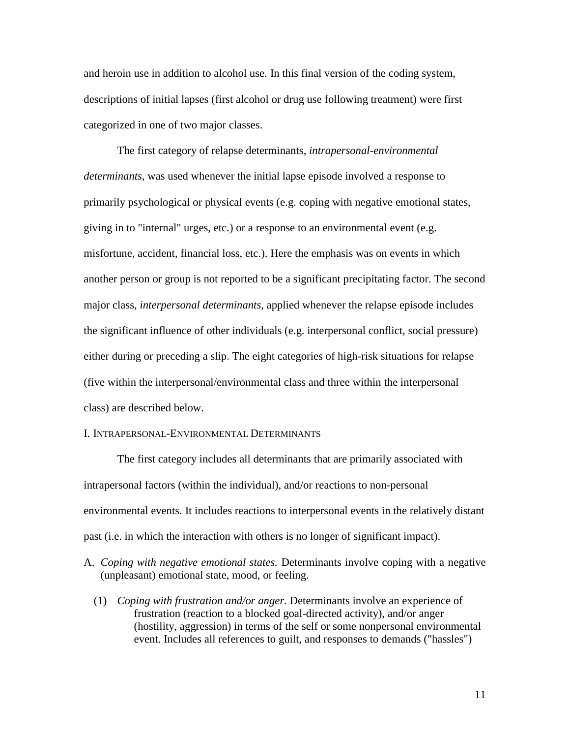and heroin use in addition to alcohol use. In this final version of the coding system, descriptions of initial lapses (first alcohol or drug use following treatment) were first categorized in one of two major classes.

The first category of relapse determinants, *intrapersonal-environmental determinants*, was used whenever the initial lapse episode involved a response to primarily psychological or physical events (e.g. coping with negative emotional states, giving in to "internal" urges, etc.) or a response to an environmental event (e.g. misfortune, accident, financial loss, etc.). Here the emphasis was on events in which another person or group is not reported to be a significant precipitating factor. The second major class, *interpersonal determinants*, applied whenever the relapse episode includes the significant influence of other individuals (e.g. interpersonal conflict, social pressure) either during or preceding a slip. The eight categories of high-risk situations for relapse (five within the interpersonal/environmental class and three within the interpersonal class) are described below.

#### I. INTRAPERSONAL-ENVIRONMENTAL DETERMINANTS

The first category includes all determinants that are primarily associated with intrapersonal factors (within the individual), and/or reactions to non-personal environmental events. It includes reactions to interpersonal events in the relatively distant past (i.e. in which the interaction with others is no longer of significant impact).

- A. *Coping with negative emotional states.* Determinants involve coping with a negative (unpleasant) emotional state, mood, or feeling.
	- (1) *Coping with frustration and/or anger.* Determinants involve an experience of frustration (reaction to a blocked goal-directed activity), and/or anger (hostility, aggression) in terms of the self or some nonpersonal environmental event. Includes all references to guilt, and responses to demands ("hassles")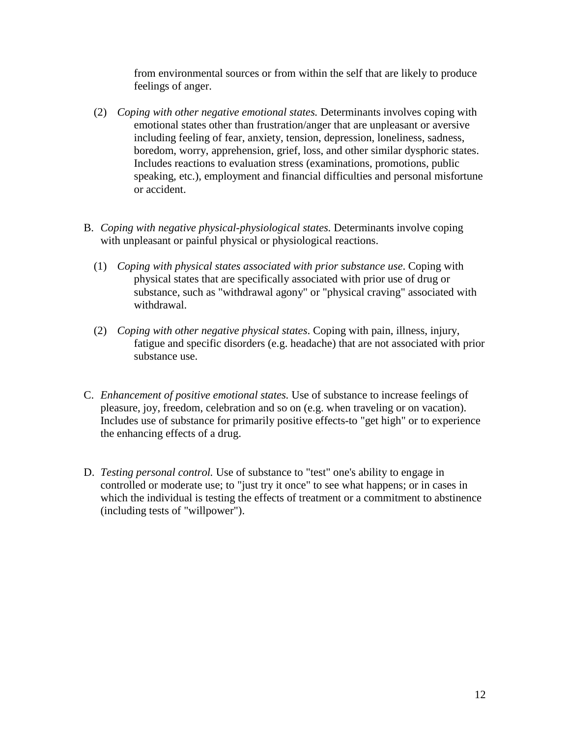from environmental sources or from within the self that are likely to produce feelings of anger.

- (2) *Coping with other negative emotional states.* Determinants involves coping with emotional states other than frustration/anger that are unpleasant or aversive including feeling of fear, anxiety, tension, depression, loneliness, sadness, boredom, worry, apprehension, grief, loss, and other similar dysphoric states. Includes reactions to evaluation stress (examinations, promotions, public speaking, etc.), employment and financial difficulties and personal misfortune or accident.
- B. *Coping with negative physical-physiological states.* Determinants involve coping with unpleasant or painful physical or physiological reactions.
	- (1) *Coping with physical states associated with prior substance use*. Coping with physical states that are specifically associated with prior use of drug or substance, such as "withdrawal agony" or "physical craving" associated with withdrawal.
	- (2) *Coping with other negative physical states*. Coping with pain, illness, injury, fatigue and specific disorders (e.g. headache) that are not associated with prior substance use.
- C. *Enhancement of positive emotional states.* Use of substance to increase feelings of pleasure, joy, freedom, celebration and so on (e.g. when traveling or on vacation). Includes use of substance for primarily positive effects-to "get high" or to experience the enhancing effects of a drug.
- D. *Testing personal control.* Use of substance to "test" one's ability to engage in controlled or moderate use; to "just try it once" to see what happens; or in cases in which the individual is testing the effects of treatment or a commitment to abstinence (including tests of "willpower").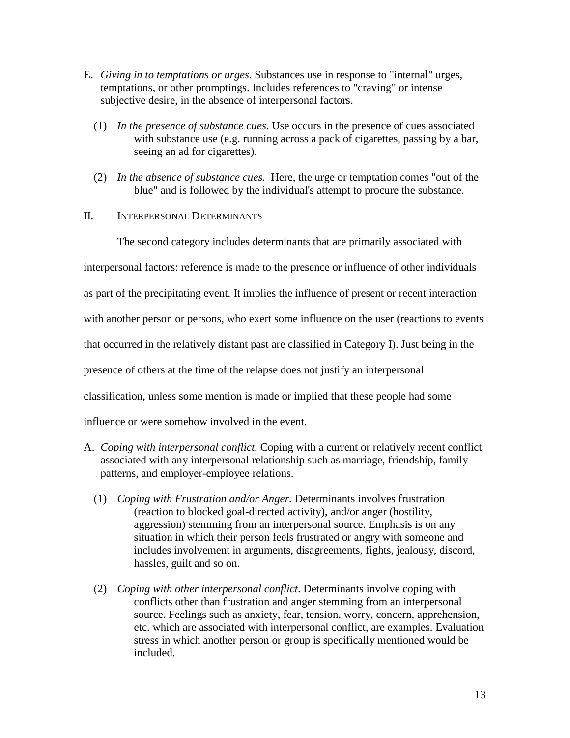- E. *Giving in to temptations or urges.* Substances use in response to "internal" urges, temptations, or other promptings. Includes references to "craving" or intense subjective desire, in the absence of interpersonal factors.
	- (1) *In the presence of substance cues*. Use occurs in the presence of cues associated with substance use (e.g. running across a pack of cigarettes, passing by a bar, seeing an ad for cigarettes).
	- (2) *In the absence of substance cues.* Here, the urge or temptation comes "out of the blue" and is followed by the individual's attempt to procure the substance.
- II. INTERPERSONAL DETERMINANTS

The second category includes determinants that are primarily associated with

interpersonal factors: reference is made to the presence or influence of other individuals

as part of the precipitating event. It implies the influence of present or recent interaction

with another person or persons, who exert some influence on the user (reactions to events

that occurred in the relatively distant past are classified in Category I). Just being in the

presence of others at the time of the relapse does not justify an interpersonal

classification, unless some mention is made or implied that these people had some

influence or were somehow involved in the event.

- A. *Coping with interpersonal conflict.* Coping with a current or relatively recent conflict associated with any interpersonal relationship such as marriage, friendship, family patterns, and employer-employee relations.
	- (1) *Coping with Frustration and/or Anger.* Determinants involves frustration (reaction to blocked goal-directed activity), and/or anger (hostility, aggression) stemming from an interpersonal source. Emphasis is on any situation in which their person feels frustrated or angry with someone and includes involvement in arguments, disagreements, fights, jealousy, discord, hassles, guilt and so on.
	- (2) *Coping with other interpersonal conflict*. Determinants involve coping with conflicts other than frustration and anger stemming from an interpersonal source. Feelings such as anxiety, fear, tension, worry, concern, apprehension, etc. which are associated with interpersonal conflict, are examples. Evaluation stress in which another person or group is specifically mentioned would be included.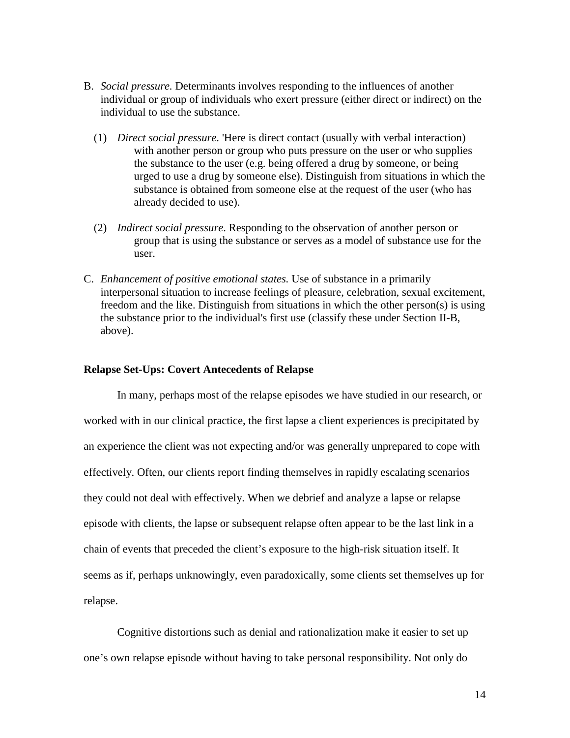- B. *Social pressure.* Determinants involves responding to the influences of another individual or group of individuals who exert pressure (either direct or indirect) on the individual to use the substance.
	- (1) *Direct social pressure*. 'Here is direct contact (usually with verbal interaction) with another person or group who puts pressure on the user or who supplies the substance to the user (e.g. being offered a drug by someone, or being urged to use a drug by someone else). Distinguish from situations in which the substance is obtained from someone else at the request of the user (who has already decided to use).
	- (2) *Indirect social pressure*. Responding to the observation of another person or group that is using the substance or serves as a model of substance use for the user.
- C. *Enhancement of positive emotional states.* Use of substance in a primarily interpersonal situation to increase feelings of pleasure, celebration, sexual excitement, freedom and the like. Distinguish from situations in which the other person(s) is using the substance prior to the individual's first use (classify these under Section II-B, above).

### **Relapse Set-Ups: Covert Antecedents of Relapse**

In many, perhaps most of the relapse episodes we have studied in our research, or worked with in our clinical practice, the first lapse a client experiences is precipitated by an experience the client was not expecting and/or was generally unprepared to cope with effectively. Often, our clients report finding themselves in rapidly escalating scenarios they could not deal with effectively. When we debrief and analyze a lapse or relapse episode with clients, the lapse or subsequent relapse often appear to be the last link in a chain of events that preceded the client's exposure to the high-risk situation itself. It seems as if, perhaps unknowingly, even paradoxically, some clients set themselves up for relapse.

Cognitive distortions such as denial and rationalization make it easier to set up one's own relapse episode without having to take personal responsibility. Not only do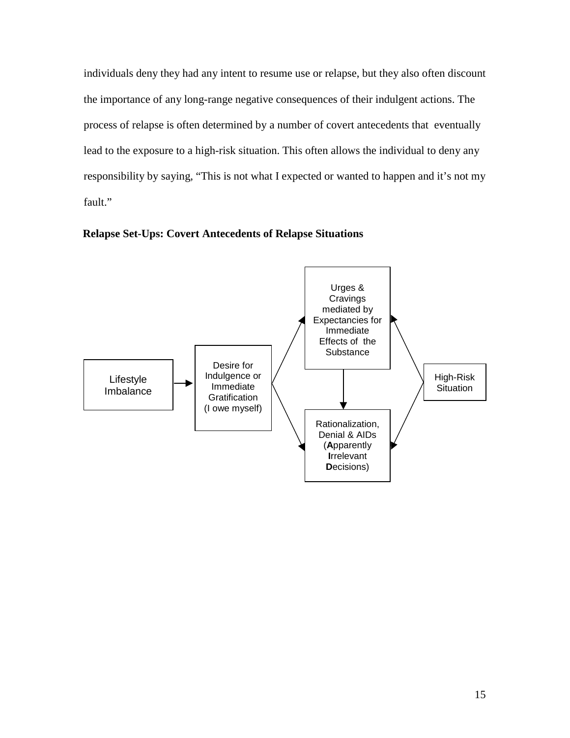individuals deny they had any intent to resume use or relapse, but they also often discount the importance of any long-range negative consequences of their indulgent actions. The process of relapse is often determined by a number of covert antecedents that eventually lead to the exposure to a high-risk situation. This often allows the individual to deny any responsibility by saying, "This is not what I expected or wanted to happen and it's not my fault."



**Relapse Set-Ups: Covert Antecedents of Relapse Situations**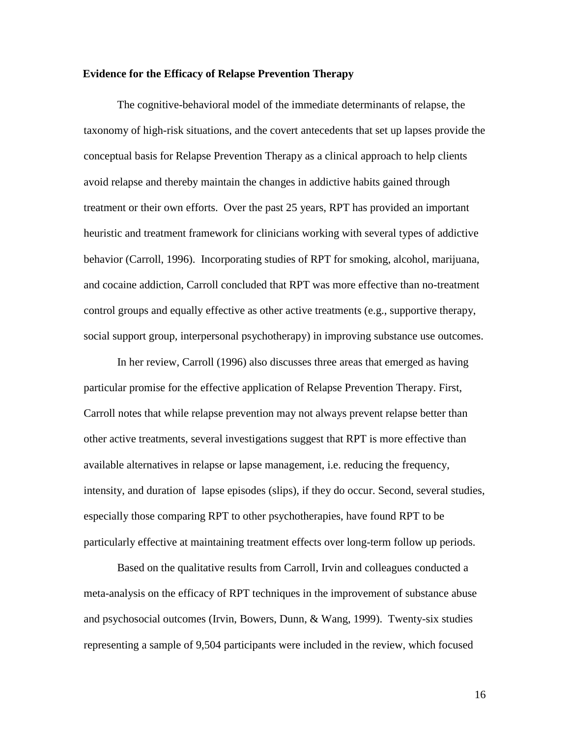#### **Evidence for the Efficacy of Relapse Prevention Therapy**

The cognitive-behavioral model of the immediate determinants of relapse, the taxonomy of high-risk situations, and the covert antecedents that set up lapses provide the conceptual basis for Relapse Prevention Therapy as a clinical approach to help clients avoid relapse and thereby maintain the changes in addictive habits gained through treatment or their own efforts. Over the past 25 years, RPT has provided an important heuristic and treatment framework for clinicians working with several types of addictive behavior (Carroll, 1996). Incorporating studies of RPT for smoking, alcohol, marijuana, and cocaine addiction, Carroll concluded that RPT was more effective than no-treatment control groups and equally effective as other active treatments (e.g., supportive therapy, social support group, interpersonal psychotherapy) in improving substance use outcomes.

In her review, Carroll (1996) also discusses three areas that emerged as having particular promise for the effective application of Relapse Prevention Therapy. First, Carroll notes that while relapse prevention may not always prevent relapse better than other active treatments, several investigations suggest that RPT is more effective than available alternatives in relapse or lapse management, i.e. reducing the frequency, intensity, and duration of lapse episodes (slips), if they do occur. Second, several studies, especially those comparing RPT to other psychotherapies, have found RPT to be particularly effective at maintaining treatment effects over long-term follow up periods.

Based on the qualitative results from Carroll, Irvin and colleagues conducted a meta-analysis on the efficacy of RPT techniques in the improvement of substance abuse and psychosocial outcomes (Irvin, Bowers, Dunn, & Wang, 1999). Twenty-six studies representing a sample of 9,504 participants were included in the review, which focused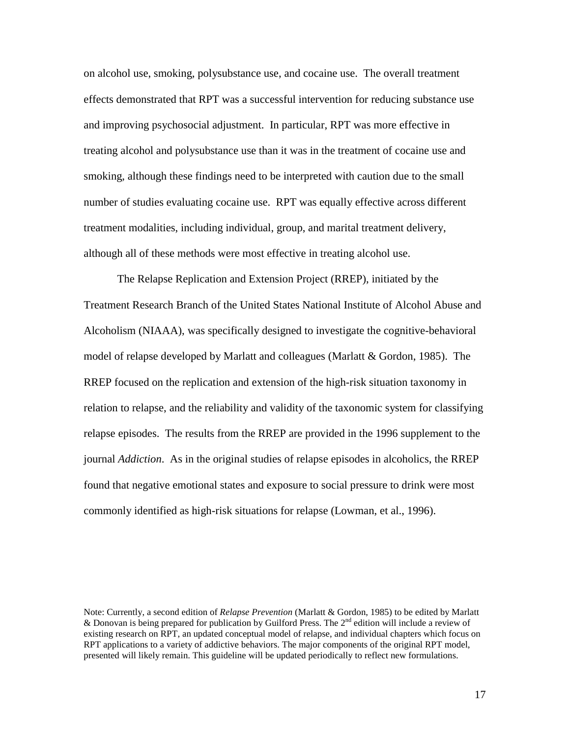on alcohol use, smoking, polysubstance use, and cocaine use. The overall treatment effects demonstrated that RPT was a successful intervention for reducing substance use and improving psychosocial adjustment. In particular, RPT was more effective in treating alcohol and polysubstance use than it was in the treatment of cocaine use and smoking, although these findings need to be interpreted with caution due to the small number of studies evaluating cocaine use. RPT was equally effective across different treatment modalities, including individual, group, and marital treatment delivery, although all of these methods were most effective in treating alcohol use.

The Relapse Replication and Extension Project (RREP), initiated by the Treatment Research Branch of the United States National Institute of Alcohol Abuse and Alcoholism (NIAAA), was specifically designed to investigate the cognitive-behavioral model of relapse developed by Marlatt and colleagues (Marlatt & Gordon, 1985). The RREP focused on the replication and extension of the high-risk situation taxonomy in relation to relapse, and the reliability and validity of the taxonomic system for classifying relapse episodes. The results from the RREP are provided in the 1996 supplement to the journal *Addiction*. As in the original studies of relapse episodes in alcoholics, the RREP found that negative emotional states and exposure to social pressure to drink were most commonly identified as high-risk situations for relapse (Lowman, et al., 1996).

Note: Currently, a second edition of *Relapse Prevention* (Marlatt & Gordon, 1985) to be edited by Marlatt & Donovan is being prepared for publication by Guilford Press. The  $2<sup>nd</sup>$  edition will include a review of existing research on RPT, an updated conceptual model of relapse, and individual chapters which focus on RPT applications to a variety of addictive behaviors. The major components of the original RPT model, presented will likely remain. This guideline will be updated periodically to reflect new formulations.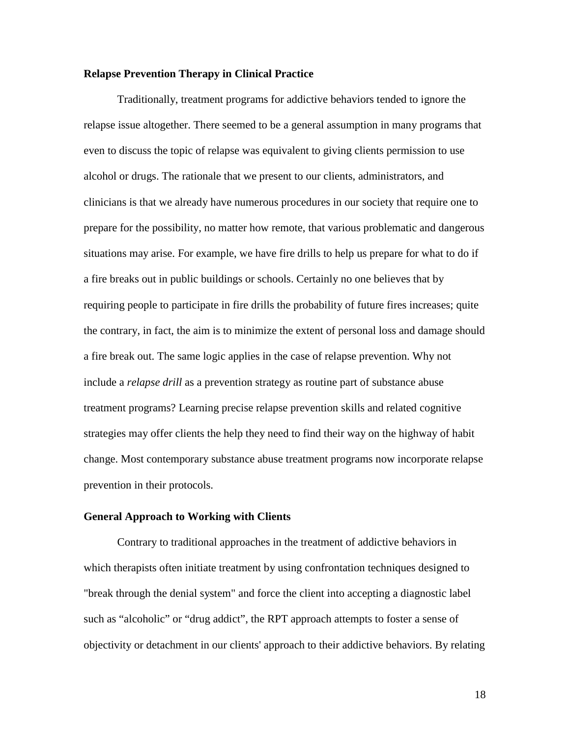## **Relapse Prevention Therapy in Clinical Practice**

Traditionally, treatment programs for addictive behaviors tended to ignore the relapse issue altogether. There seemed to be a general assumption in many programs that even to discuss the topic of relapse was equivalent to giving clients permission to use alcohol or drugs. The rationale that we present to our clients, administrators, and clinicians is that we already have numerous procedures in our society that require one to prepare for the possibility, no matter how remote, that various problematic and dangerous situations may arise. For example, we have fire drills to help us prepare for what to do if a fire breaks out in public buildings or schools. Certainly no one believes that by requiring people to participate in fire drills the probability of future fires increases; quite the contrary, in fact, the aim is to minimize the extent of personal loss and damage should a fire break out. The same logic applies in the case of relapse prevention. Why not include a *relapse drill* as a prevention strategy as routine part of substance abuse treatment programs? Learning precise relapse prevention skills and related cognitive strategies may offer clients the help they need to find their way on the highway of habit change. Most contemporary substance abuse treatment programs now incorporate relapse prevention in their protocols.

#### **General Approach to Working with Clients**

Contrary to traditional approaches in the treatment of addictive behaviors in which therapists often initiate treatment by using confrontation techniques designed to "break through the denial system" and force the client into accepting a diagnostic label such as "alcoholic" or "drug addict", the RPT approach attempts to foster a sense of objectivity or detachment in our clients' approach to their addictive behaviors. By relating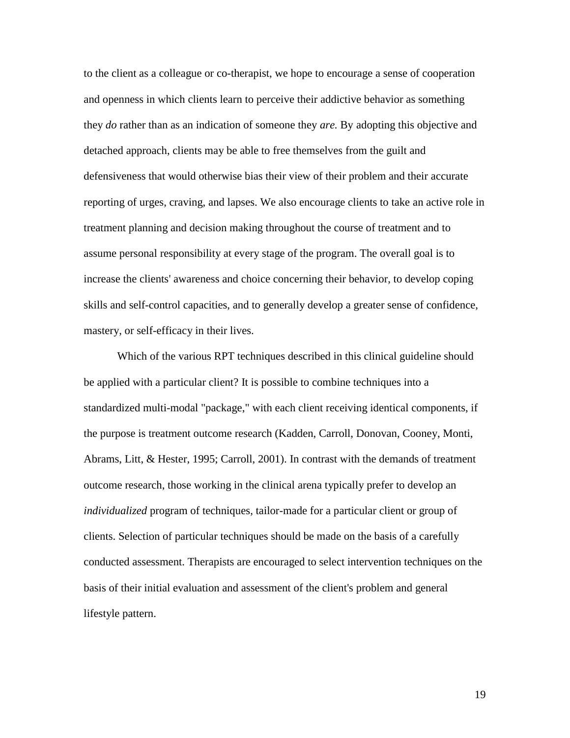to the client as a colleague or co-therapist, we hope to encourage a sense of cooperation and openness in which clients learn to perceive their addictive behavior as something they *do* rather than as an indication of someone they *are.* By adopting this objective and detached approach, clients may be able to free themselves from the guilt and defensiveness that would otherwise bias their view of their problem and their accurate reporting of urges, craving, and lapses. We also encourage clients to take an active role in treatment planning and decision making throughout the course of treatment and to assume personal responsibility at every stage of the program. The overall goal is to increase the clients' awareness and choice concerning their behavior, to develop coping skills and self-control capacities, and to generally develop a greater sense of confidence, mastery, or self-efficacy in their lives.

Which of the various RPT techniques described in this clinical guideline should be applied with a particular client? It is possible to combine techniques into a standardized multi-modal "package," with each client receiving identical components, if the purpose is treatment outcome research (Kadden, Carroll, Donovan, Cooney, Monti, Abrams, Litt, & Hester, 1995; Carroll, 2001). In contrast with the demands of treatment outcome research, those working in the clinical arena typically prefer to develop an *individualized* program of techniques, tailor-made for a particular client or group of clients. Selection of particular techniques should be made on the basis of a carefully conducted assessment. Therapists are encouraged to select intervention techniques on the basis of their initial evaluation and assessment of the client's problem and general lifestyle pattern.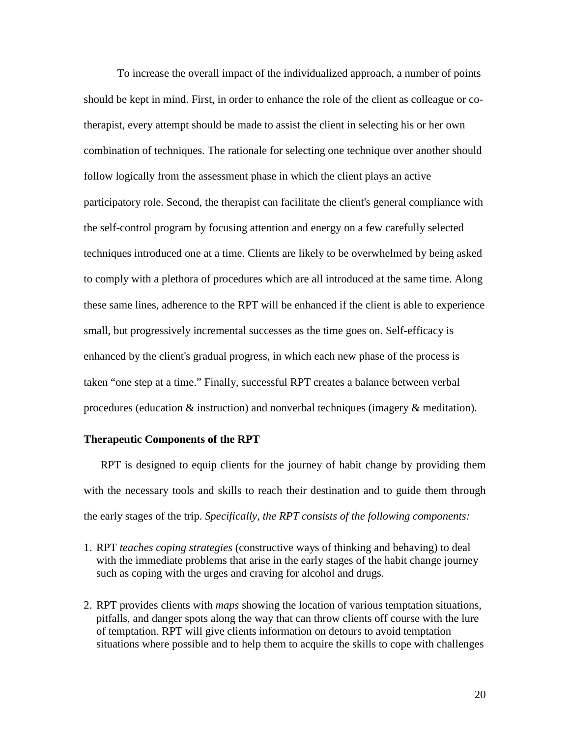To increase the overall impact of the individualized approach, a number of points should be kept in mind. First, in order to enhance the role of the client as colleague or cotherapist, every attempt should be made to assist the client in selecting his or her own combination of techniques. The rationale for selecting one technique over another should follow logically from the assessment phase in which the client plays an active participatory role. Second, the therapist can facilitate the client's general compliance with the self-control program by focusing attention and energy on a few carefully selected techniques introduced one at a time. Clients are likely to be overwhelmed by being asked to comply with a plethora of procedures which are all introduced at the same time. Along these same lines, adherence to the RPT will be enhanced if the client is able to experience small, but progressively incremental successes as the time goes on. Self-efficacy is enhanced by the client's gradual progress, in which each new phase of the process is taken "one step at a time." Finally, successful RPT creates a balance between verbal procedures (education & instruction) and nonverbal techniques (imagery & meditation).

### **Therapeutic Components of the RPT**

RPT is designed to equip clients for the journey of habit change by providing them with the necessary tools and skills to reach their destination and to guide them through the early stages of the trip. *Specifically, the RPT consists of the following components:*

- 1. RPT *teaches coping strategies* (constructive ways of thinking and behaving) to deal with the immediate problems that arise in the early stages of the habit change journey such as coping with the urges and craving for alcohol and drugs.
- 2. RPT provides clients with *maps* showing the location of various temptation situations, pitfalls, and danger spots along the way that can throw clients off course with the lure of temptation. RPT will give clients information on detours to avoid temptation situations where possible and to help them to acquire the skills to cope with challenges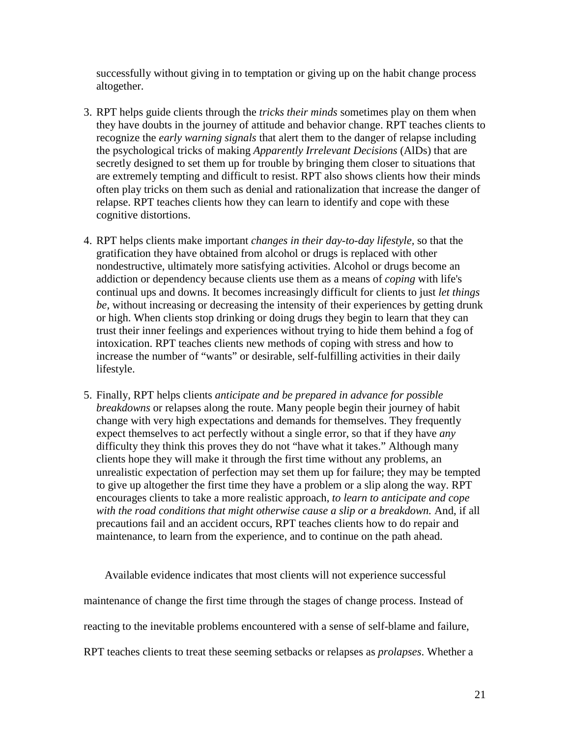successfully without giving in to temptation or giving up on the habit change process altogether.

- 3. RPT helps guide clients through the *tricks their minds* sometimes play on them when they have doubts in the journey of attitude and behavior change. RPT teaches clients to recognize the *early warning signals* that alert them to the danger of relapse including the psychological tricks of making *Apparently Irrelevant Decisions* (AlDs) that are secretly designed to set them up for trouble by bringing them closer to situations that are extremely tempting and difficult to resist. RPT also shows clients how their minds often play tricks on them such as denial and rationalization that increase the danger of relapse. RPT teaches clients how they can learn to identify and cope with these cognitive distortions.
- 4. RPT helps clients make important *changes in their day-to-day lifestyle,* so that the gratification they have obtained from alcohol or drugs is replaced with other nondestructive, ultimately more satisfying activities. Alcohol or drugs become an addiction or dependency because clients use them as a means of *coping* with life's continual ups and downs. It becomes increasingly difficult for clients to just *let things be,* without increasing or decreasing the intensity of their experiences by getting drunk or high. When clients stop drinking or doing drugs they begin to learn that they can trust their inner feelings and experiences without trying to hide them behind a fog of intoxication. RPT teaches clients new methods of coping with stress and how to increase the number of "wants" or desirable, self-fulfilling activities in their daily lifestyle.
- 5. Finally, RPT helps clients *anticipate and be prepared in advance for possible breakdowns* or relapses along the route. Many people begin their journey of habit change with very high expectations and demands for themselves. They frequently expect themselves to act perfectly without a single error, so that if they have *any* difficulty they think this proves they do not "have what it takes." Although many clients hope they will make it through the first time without any problems, an unrealistic expectation of perfection may set them up for failure; they may be tempted to give up altogether the first time they have a problem or a slip along the way. RPT encourages clients to take a more realistic approach, *to learn to anticipate and cope with the road conditions that might otherwise cause a slip or a breakdown.* And, if all precautions fail and an accident occurs, RPT teaches clients how to do repair and maintenance, to learn from the experience, and to continue on the path ahead.

Available evidence indicates that most clients will not experience successful maintenance of change the first time through the stages of change process. Instead of reacting to the inevitable problems encountered with a sense of self-blame and failure, RPT teaches clients to treat these seeming setbacks or relapses as *prolapses*. Whether a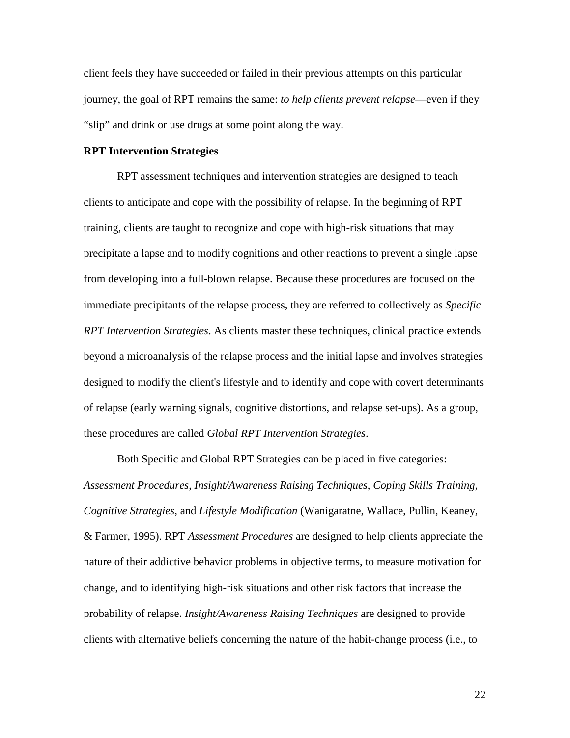client feels they have succeeded or failed in their previous attempts on this particular journey, the goal of RPT remains the same: *to help clients prevent relapse*—even if they "slip" and drink or use drugs at some point along the way.

#### **RPT Intervention Strategies**

RPT assessment techniques and intervention strategies are designed to teach clients to anticipate and cope with the possibility of relapse. In the beginning of RPT training, clients are taught to recognize and cope with high-risk situations that may precipitate a lapse and to modify cognitions and other reactions to prevent a single lapse from developing into a full-blown relapse. Because these procedures are focused on the immediate precipitants of the relapse process, they are referred to collectively as *Specific RPT Intervention Strategies*. As clients master these techniques, clinical practice extends beyond a microanalysis of the relapse process and the initial lapse and involves strategies designed to modify the client's lifestyle and to identify and cope with covert determinants of relapse (early warning signals, cognitive distortions, and relapse set-ups). As a group, these procedures are called *Global RPT Intervention Strategies*.

Both Specific and Global RPT Strategies can be placed in five categories: *Assessment Procedures*, *Insight/Awareness Raising Techniques*, *Coping Skills Training*, *Cognitive Strategies*, and *Lifestyle Modification* (Wanigaratne, Wallace, Pullin, Keaney, & Farmer, 1995). RPT *Assessment Procedures* are designed to help clients appreciate the nature of their addictive behavior problems in objective terms, to measure motivation for change, and to identifying high-risk situations and other risk factors that increase the probability of relapse. *Insight/Awareness Raising Techniques* are designed to provide clients with alternative beliefs concerning the nature of the habit-change process (i.e., to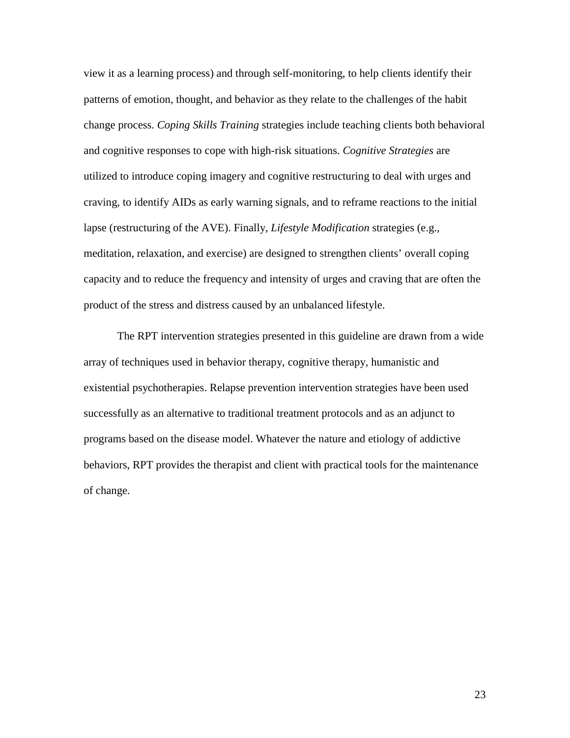view it as a learning process) and through self-monitoring, to help clients identify their patterns of emotion, thought, and behavior as they relate to the challenges of the habit change process. *Coping Skills Training* strategies include teaching clients both behavioral and cognitive responses to cope with high-risk situations. *Cognitive Strategies* are utilized to introduce coping imagery and cognitive restructuring to deal with urges and craving, to identify AIDs as early warning signals, and to reframe reactions to the initial lapse (restructuring of the AVE). Finally, *Lifestyle Modification* strategies (e.g., meditation, relaxation, and exercise) are designed to strengthen clients' overall coping capacity and to reduce the frequency and intensity of urges and craving that are often the product of the stress and distress caused by an unbalanced lifestyle.

The RPT intervention strategies presented in this guideline are drawn from a wide array of techniques used in behavior therapy, cognitive therapy, humanistic and existential psychotherapies. Relapse prevention intervention strategies have been used successfully as an alternative to traditional treatment protocols and as an adjunct to programs based on the disease model. Whatever the nature and etiology of addictive behaviors, RPT provides the therapist and client with practical tools for the maintenance of change.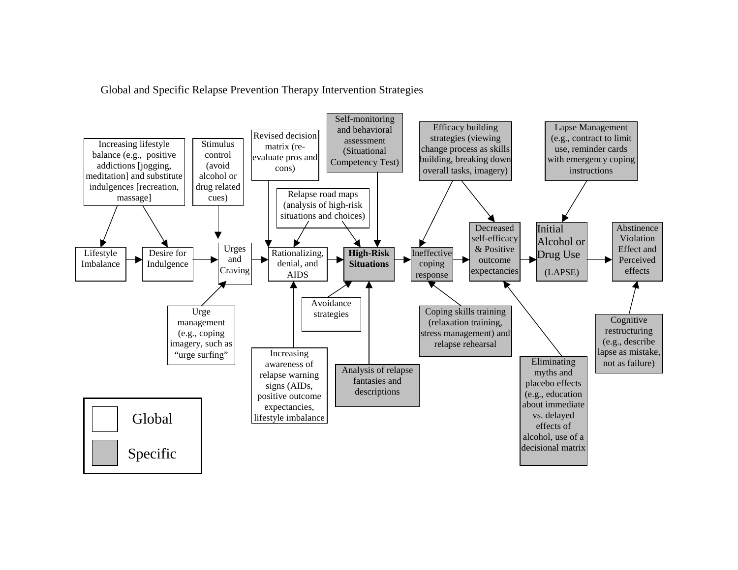Global and Specific Relapse Prevention Therapy Intervention Strategies

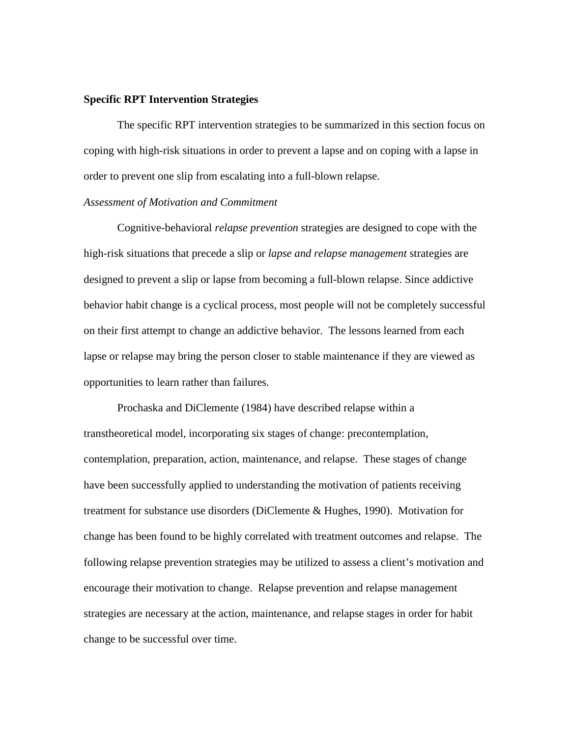### **Specific RPT Intervention Strategies**

The specific RPT intervention strategies to be summarized in this section focus on coping with high-risk situations in order to prevent a lapse and on coping with a lapse in order to prevent one slip from escalating into a full-blown relapse.

#### *Assessment of Motivation and Commitment*

Cognitive-behavioral *relapse prevention* strategies are designed to cope with the high-risk situations that precede a slip or *lapse and relapse management* strategies are designed to prevent a slip or lapse from becoming a full-blown relapse. Since addictive behavior habit change is a cyclical process, most people will not be completely successful on their first attempt to change an addictive behavior. The lessons learned from each lapse or relapse may bring the person closer to stable maintenance if they are viewed as opportunities to learn rather than failures.

Prochaska and DiClemente (1984) have described relapse within a transtheoretical model, incorporating six stages of change: precontemplation, contemplation, preparation, action, maintenance, and relapse. These stages of change have been successfully applied to understanding the motivation of patients receiving treatment for substance use disorders (DiClemente & Hughes, 1990). Motivation for change has been found to be highly correlated with treatment outcomes and relapse. The following relapse prevention strategies may be utilized to assess a client's motivation and encourage their motivation to change. Relapse prevention and relapse management strategies are necessary at the action, maintenance, and relapse stages in order for habit change to be successful over time.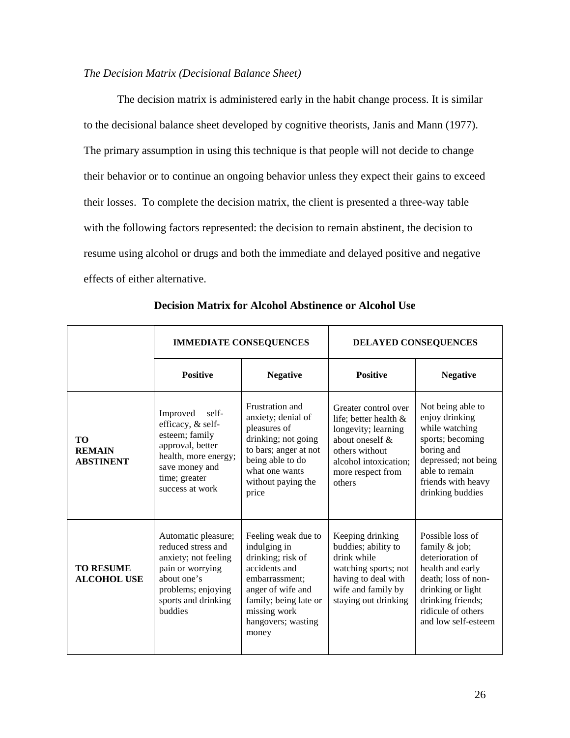## *The Decision Matrix (Decisional Balance Sheet)*

The decision matrix is administered early in the habit change process. It is similar to the decisional balance sheet developed by cognitive theorists, Janis and Mann (1977). The primary assumption in using this technique is that people will not decide to change their behavior or to continue an ongoing behavior unless they expect their gains to exceed their losses. To complete the decision matrix, the client is presented a three-way table with the following factors represented: the decision to remain abstinent, the decision to resume using alcohol or drugs and both the immediate and delayed positive and negative effects of either alternative.

|                                         | <b>IMMEDIATE CONSEQUENCES</b>                                                                                                                                       |                                                                                                                                                                                          | DELAYED CONSEQUENCES                                                                                                                                                    |                                                                                                                                                                                           |
|-----------------------------------------|---------------------------------------------------------------------------------------------------------------------------------------------------------------------|------------------------------------------------------------------------------------------------------------------------------------------------------------------------------------------|-------------------------------------------------------------------------------------------------------------------------------------------------------------------------|-------------------------------------------------------------------------------------------------------------------------------------------------------------------------------------------|
|                                         | <b>Positive</b>                                                                                                                                                     | <b>Negative</b>                                                                                                                                                                          | <b>Positive</b>                                                                                                                                                         | <b>Negative</b>                                                                                                                                                                           |
| TO<br><b>REMAIN</b><br><b>ABSTINENT</b> | Improved<br>self-<br>efficacy, & self-<br>esteem; family<br>approval, better<br>health, more energy;<br>save money and<br>time; greater<br>success at work          | Frustration and<br>anxiety; denial of<br>pleasures of<br>drinking; not going<br>to bars; anger at not<br>being able to do<br>what one wants<br>without paying the<br>price               | Greater control over<br>life; better health $\&$<br>longevity; learning<br>about oneself $\&$<br>others without<br>alcohol intoxication;<br>more respect from<br>others | Not being able to<br>enjoy drinking<br>while watching<br>sports; becoming<br>boring and<br>depressed; not being<br>able to remain<br>friends with heavy<br>drinking buddies               |
| <b>TO RESUME</b><br><b>ALCOHOL USE</b>  | Automatic pleasure;<br>reduced stress and<br>anxiety; not feeling<br>pain or worrying<br>about one's<br>problems; enjoying<br>sports and drinking<br><b>buddies</b> | Feeling weak due to<br>indulging in<br>drinking; risk of<br>accidents and<br>embarrassment;<br>anger of wife and<br>family; being late or<br>missing work<br>hangovers; wasting<br>money | Keeping drinking<br>buddies; ability to<br>drink while<br>watching sports; not<br>having to deal with<br>wife and family by<br>staying out drinking                     | Possible loss of<br>family $&$ job;<br>deterioration of<br>health and early<br>death; loss of non-<br>drinking or light<br>drinking friends;<br>ridicule of others<br>and low self-esteem |

**Decision Matrix for Alcohol Abstinence or Alcohol Use**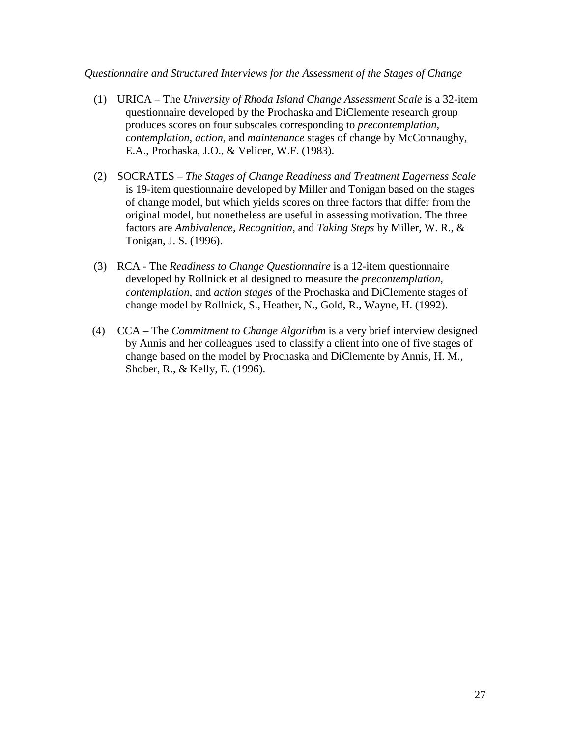# *Questionnaire and Structured Interviews for the Assessment of the Stages of Change*

- (1) URICA The *University of Rhoda Island Change Assessment Scale* is a 32-item questionnaire developed by the Prochaska and DiClemente research group produces scores on four subscales corresponding to *precontemplation, contemplation, action,* and *maintenance* stages of change by McConnaughy, E.A., Prochaska, J.O., & Velicer, W.F. (1983).
- (2) SOCRATES *The Stages of Change Readiness and Treatment Eagerness Scale* is 19-item questionnaire developed by Miller and Tonigan based on the stages of change model, but which yields scores on three factors that differ from the original model, but nonetheless are useful in assessing motivation. The three factors are *Ambivalence, Recognition,* and *Taking Steps* by Miller, W. R., & Tonigan, J. S. (1996).
- (3) RCA The *Readiness to Change Questionnaire* is a 12-item questionnaire developed by Rollnick et al designed to measure the *precontemplation, contemplation,* and *action stages* of the Prochaska and DiClemente stages of change model by Rollnick, S., Heather, N., Gold, R., Wayne, H. (1992).
- (4) CCA The *Commitment to Change Algorithm* is a very brief interview designed by Annis and her colleagues used to classify a client into one of five stages of change based on the model by Prochaska and DiClemente by Annis, H. M., Shober, R., & Kelly, E. (1996).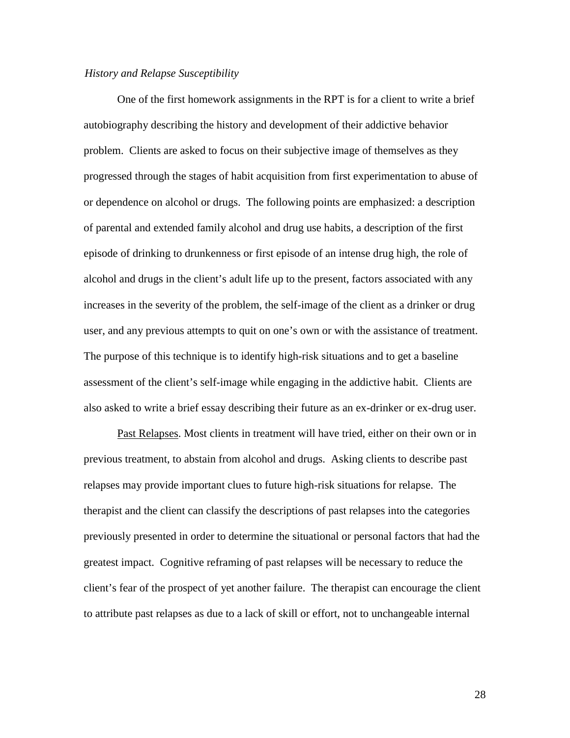#### *History and Relapse Susceptibility*

One of the first homework assignments in the RPT is for a client to write a brief autobiography describing the history and development of their addictive behavior problem. Clients are asked to focus on their subjective image of themselves as they progressed through the stages of habit acquisition from first experimentation to abuse of or dependence on alcohol or drugs. The following points are emphasized: a description of parental and extended family alcohol and drug use habits, a description of the first episode of drinking to drunkenness or first episode of an intense drug high, the role of alcohol and drugs in the client's adult life up to the present, factors associated with any increases in the severity of the problem, the self-image of the client as a drinker or drug user, and any previous attempts to quit on one's own or with the assistance of treatment. The purpose of this technique is to identify high-risk situations and to get a baseline assessment of the client's self-image while engaging in the addictive habit. Clients are also asked to write a brief essay describing their future as an ex-drinker or ex-drug user.

Past Relapses. Most clients in treatment will have tried, either on their own or in previous treatment, to abstain from alcohol and drugs. Asking clients to describe past relapses may provide important clues to future high-risk situations for relapse. The therapist and the client can classify the descriptions of past relapses into the categories previously presented in order to determine the situational or personal factors that had the greatest impact. Cognitive reframing of past relapses will be necessary to reduce the client's fear of the prospect of yet another failure. The therapist can encourage the client to attribute past relapses as due to a lack of skill or effort, not to unchangeable internal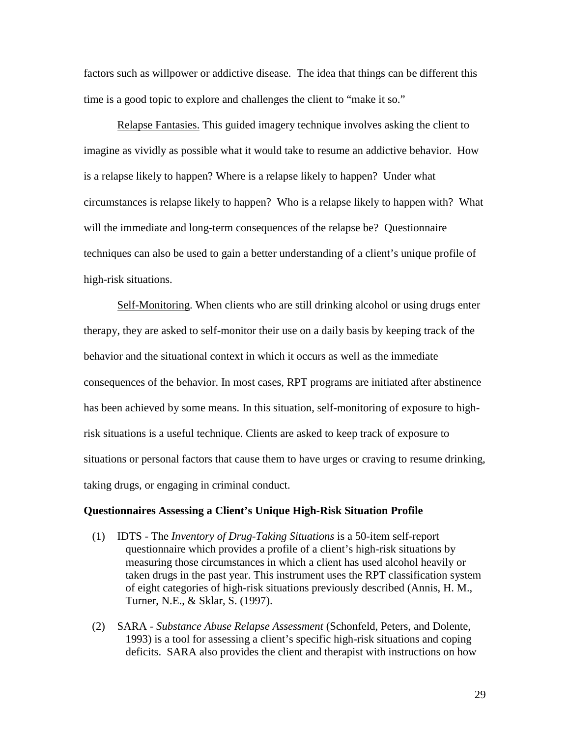factors such as willpower or addictive disease. The idea that things can be different this time is a good topic to explore and challenges the client to "make it so."

Relapse Fantasies. This guided imagery technique involves asking the client to imagine as vividly as possible what it would take to resume an addictive behavior. How is a relapse likely to happen? Where is a relapse likely to happen? Under what circumstances is relapse likely to happen? Who is a relapse likely to happen with? What will the immediate and long-term consequences of the relapse be? Questionnaire techniques can also be used to gain a better understanding of a client's unique profile of high-risk situations.

Self-Monitoring. When clients who are still drinking alcohol or using drugs enter therapy, they are asked to self-monitor their use on a daily basis by keeping track of the behavior and the situational context in which it occurs as well as the immediate consequences of the behavior. In most cases, RPT programs are initiated after abstinence has been achieved by some means. In this situation, self-monitoring of exposure to highrisk situations is a useful technique. Clients are asked to keep track of exposure to situations or personal factors that cause them to have urges or craving to resume drinking, taking drugs, or engaging in criminal conduct.

#### **Questionnaires Assessing a Client's Unique High-Risk Situation Profile**

- (1) IDTS The *Inventory of Drug-Taking Situations* is a 50-item self-report questionnaire which provides a profile of a client's high-risk situations by measuring those circumstances in which a client has used alcohol heavily or taken drugs in the past year. This instrument uses the RPT classification system of eight categories of high-risk situations previously described (Annis, H. M., Turner, N.E., & Sklar, S. (1997).
- (2) SARA *Substance Abuse Relapse Assessment* (Schonfeld, Peters, and Dolente, 1993) is a tool for assessing a client's specific high-risk situations and coping deficits. SARA also provides the client and therapist with instructions on how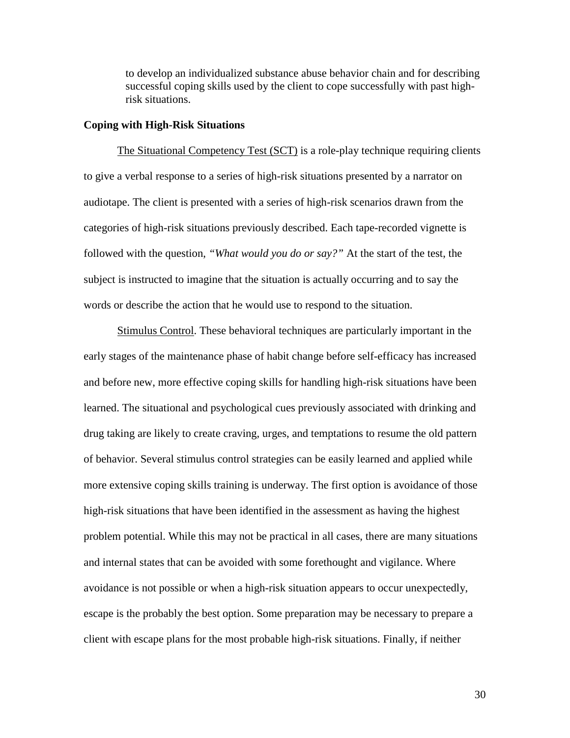to develop an individualized substance abuse behavior chain and for describing successful coping skills used by the client to cope successfully with past highrisk situations.

### **Coping with High-Risk Situations**

The Situational Competency Test (SCT) is a role-play technique requiring clients to give a verbal response to a series of high-risk situations presented by a narrator on audiotape. The client is presented with a series of high-risk scenarios drawn from the categories of high-risk situations previously described. Each tape-recorded vignette is followed with the question, *"What would you do or say?"* At the start of the test, the subject is instructed to imagine that the situation is actually occurring and to say the words or describe the action that he would use to respond to the situation.

Stimulus Control. These behavioral techniques are particularly important in the early stages of the maintenance phase of habit change before self-efficacy has increased and before new, more effective coping skills for handling high-risk situations have been learned. The situational and psychological cues previously associated with drinking and drug taking are likely to create craving, urges, and temptations to resume the old pattern of behavior. Several stimulus control strategies can be easily learned and applied while more extensive coping skills training is underway. The first option is avoidance of those high-risk situations that have been identified in the assessment as having the highest problem potential. While this may not be practical in all cases, there are many situations and internal states that can be avoided with some forethought and vigilance. Where avoidance is not possible or when a high-risk situation appears to occur unexpectedly, escape is the probably the best option. Some preparation may be necessary to prepare a client with escape plans for the most probable high-risk situations. Finally, if neither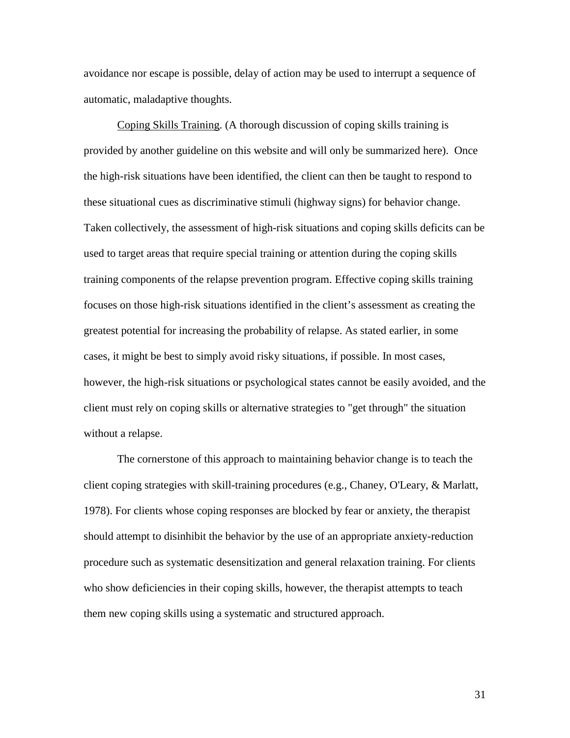avoidance nor escape is possible, delay of action may be used to interrupt a sequence of automatic, maladaptive thoughts.

Coping Skills Training. (A thorough discussion of coping skills training is provided by another guideline on this website and will only be summarized here). Once the high-risk situations have been identified, the client can then be taught to respond to these situational cues as discriminative stimuli (highway signs) for behavior change. Taken collectively, the assessment of high-risk situations and coping skills deficits can be used to target areas that require special training or attention during the coping skills training components of the relapse prevention program. Effective coping skills training focuses on those high-risk situations identified in the client's assessment as creating the greatest potential for increasing the probability of relapse. As stated earlier, in some cases, it might be best to simply avoid risky situations, if possible. In most cases, however, the high-risk situations or psychological states cannot be easily avoided, and the client must rely on coping skills or alternative strategies to "get through" the situation without a relapse.

The cornerstone of this approach to maintaining behavior change is to teach the client coping strategies with skill-training procedures (e.g., Chaney, O'Leary, & Marlatt, 1978). For clients whose coping responses are blocked by fear or anxiety, the therapist should attempt to disinhibit the behavior by the use of an appropriate anxiety-reduction procedure such as systematic desensitization and general relaxation training. For clients who show deficiencies in their coping skills, however, the therapist attempts to teach them new coping skills using a systematic and structured approach.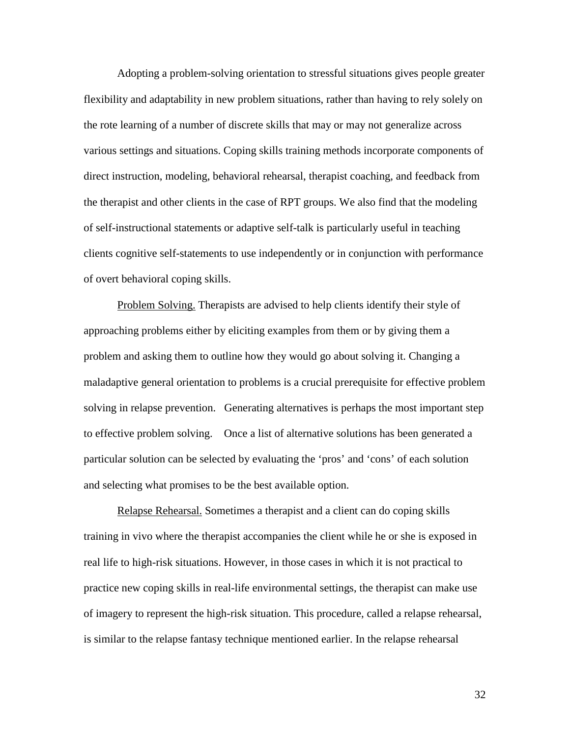Adopting a problem-solving orientation to stressful situations gives people greater flexibility and adaptability in new problem situations, rather than having to rely solely on the rote learning of a number of discrete skills that may or may not generalize across various settings and situations. Coping skills training methods incorporate components of direct instruction, modeling, behavioral rehearsal, therapist coaching, and feedback from the therapist and other clients in the case of RPT groups. We also find that the modeling of self-instructional statements or adaptive self-talk is particularly useful in teaching clients cognitive self-statements to use independently or in conjunction with performance of overt behavioral coping skills.

Problem Solving. Therapists are advised to help clients identify their style of approaching problems either by eliciting examples from them or by giving them a problem and asking them to outline how they would go about solving it. Changing a maladaptive general orientation to problems is a crucial prerequisite for effective problem solving in relapse prevention. Generating alternatives is perhaps the most important step to effective problem solving. Once a list of alternative solutions has been generated a particular solution can be selected by evaluating the 'pros' and 'cons' of each solution and selecting what promises to be the best available option.

Relapse Rehearsal. Sometimes a therapist and a client can do coping skills training in vivo where the therapist accompanies the client while he or she is exposed in real life to high-risk situations. However, in those cases in which it is not practical to practice new coping skills in real-life environmental settings, the therapist can make use of imagery to represent the high-risk situation. This procedure, called a relapse rehearsal, is similar to the relapse fantasy technique mentioned earlier. In the relapse rehearsal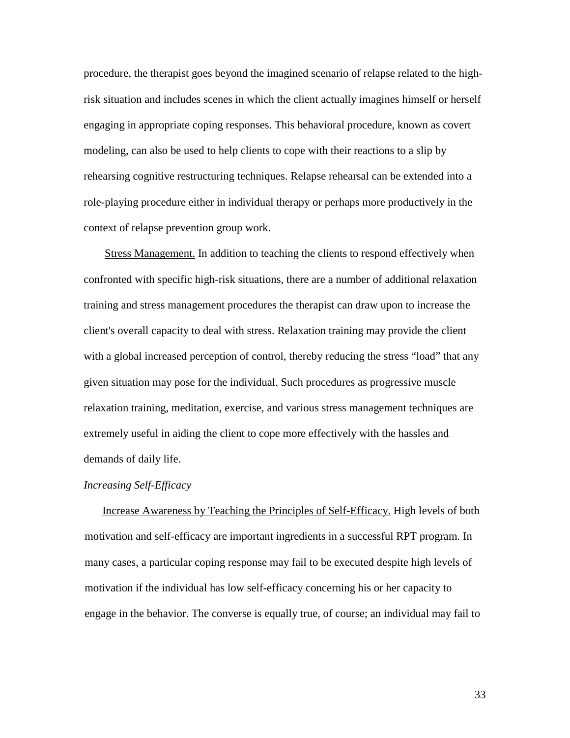procedure, the therapist goes beyond the imagined scenario of relapse related to the highrisk situation and includes scenes in which the client actually imagines himself or herself engaging in appropriate coping responses. This behavioral procedure, known as covert modeling, can also be used to help clients to cope with their reactions to a slip by rehearsing cognitive restructuring techniques. Relapse rehearsal can be extended into a role-playing procedure either in individual therapy or perhaps more productively in the context of relapse prevention group work.

Stress Management. In addition to teaching the clients to respond effectively when confronted with specific high-risk situations, there are a number of additional relaxation training and stress management procedures the therapist can draw upon to increase the client's overall capacity to deal with stress. Relaxation training may provide the client with a global increased perception of control, thereby reducing the stress "load" that any given situation may pose for the individual. Such procedures as progressive muscle relaxation training, meditation, exercise, and various stress management techniques are extremely useful in aiding the client to cope more effectively with the hassles and demands of daily life.

#### *Increasing Self-Efficacy*

Increase Awareness by Teaching the Principles of Self-Efficacy. High levels of both motivation and self-efficacy are important ingredients in a successful RPT program. In many cases, a particular coping response may fail to be executed despite high levels of motivation if the individual has low self-efficacy concerning his or her capacity to engage in the behavior. The converse is equally true, of course; an individual may fail to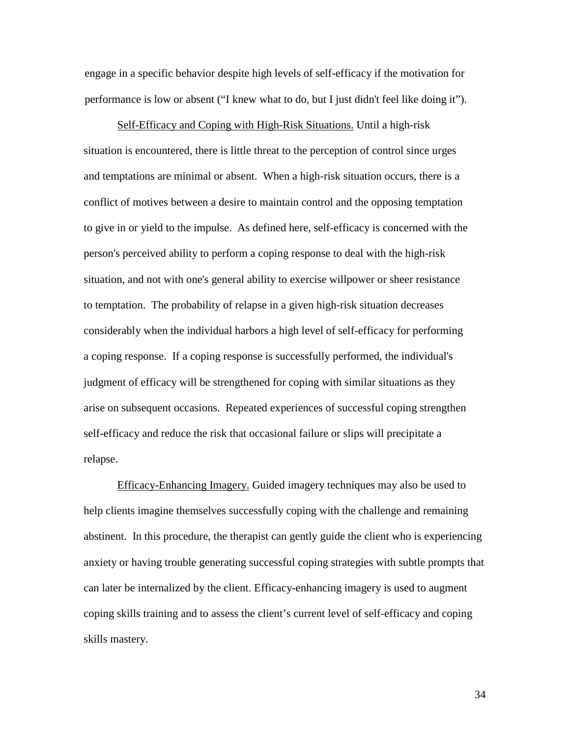engage in a specific behavior despite high levels of self-efficacy if the motivation for performance is low or absent ("I knew what to do, but I just didn't feel like doing it").

Self-Efficacy and Coping with High-Risk Situations. Until a high-risk situation is encountered, there is little threat to the perception of control since urges and temptations are minimal or absent. When a high-risk situation occurs, there is a conflict of motives between a desire to maintain control and the opposing temptation to give in or yield to the impulse. As defined here, self-efficacy is concerned with the person's perceived ability to perform a coping response to deal with the high-risk situation, and not with one's general ability to exercise willpower or sheer resistance to temptation. The probability of relapse in a given high-risk situation decreases considerably when the individual harbors a high level of self-efficacy for performing a coping response. If a coping response is successfully performed, the individual's judgment of efficacy will be strengthened for coping with similar situations as they arise on subsequent occasions. Repeated experiences of successful coping strengthen self-efficacy and reduce the risk that occasional failure or slips will precipitate a relapse.

Efficacy-Enhancing Imagery. Guided imagery techniques may also be used to help clients imagine themselves successfully coping with the challenge and remaining abstinent. In this procedure, the therapist can gently guide the client who is experiencing anxiety or having trouble generating successful coping strategies with subtle prompts that can later be internalized by the client. Efficacy-enhancing imagery is used to augment coping skills training and to assess the client's current level of self-efficacy and coping skills mastery.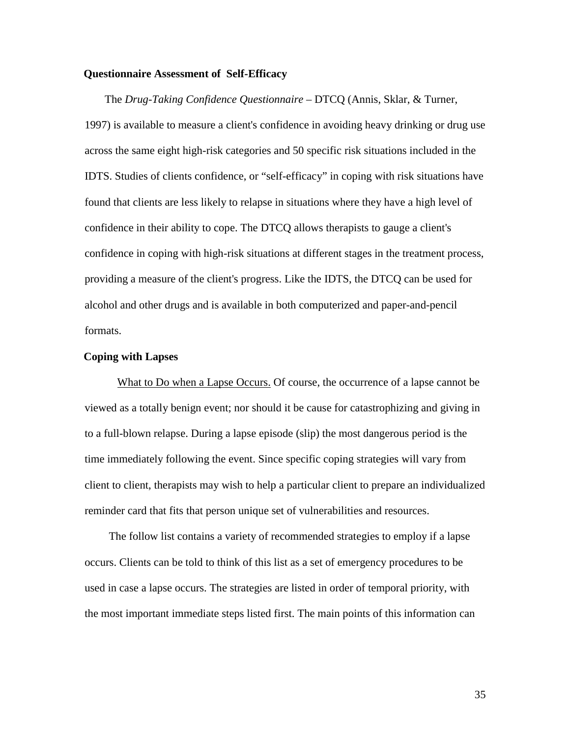### **Questionnaire Assessment of Self-Efficacy**

The *Drug-Taking Confidence Questionnaire* – DTCQ (Annis, Sklar, & Turner, 1997) is available to measure a client's confidence in avoiding heavy drinking or drug use across the same eight high-risk categories and 50 specific risk situations included in the IDTS. Studies of clients confidence, or "self-efficacy" in coping with risk situations have found that clients are less likely to relapse in situations where they have a high level of confidence in their ability to cope. The DTCQ allows therapists to gauge a client's confidence in coping with high-risk situations at different stages in the treatment process, providing a measure of the client's progress. Like the IDTS, the DTCQ can be used for alcohol and other drugs and is available in both computerized and paper-and-pencil formats.

# **Coping with Lapses**

What to Do when a Lapse Occurs. Of course, the occurrence of a lapse cannot be viewed as a totally benign event; nor should it be cause for catastrophizing and giving in to a full-blown relapse. During a lapse episode (slip) the most dangerous period is the time immediately following the event. Since specific coping strategies will vary from client to client, therapists may wish to help a particular client to prepare an individualized reminder card that fits that person unique set of vulnerabilities and resources.

The follow list contains a variety of recommended strategies to employ if a lapse occurs. Clients can be told to think of this list as a set of emergency procedures to be used in case a lapse occurs. The strategies are listed in order of temporal priority, with the most important immediate steps listed first. The main points of this information can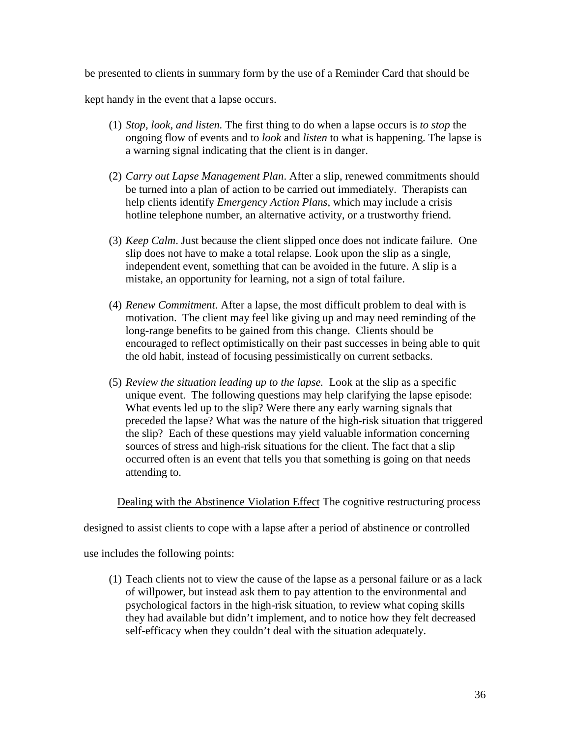be presented to clients in summary form by the use of a Reminder Card that should be

kept handy in the event that a lapse occurs.

- (1) *Stop, look, and listen.* The first thing to do when a lapse occurs is *to stop* the ongoing flow of events and to *look* and *listen* to what is happening. The lapse is a warning signal indicating that the client is in danger.
- (2) *Carry out Lapse Management Plan*. After a slip, renewed commitments should be turned into a plan of action to be carried out immediately. Therapists can help clients identify *Emergency Action Plans*, which may include a crisis hotline telephone number, an alternative activity, or a trustworthy friend.
- (3) *Keep Calm*. Just because the client slipped once does not indicate failure. One slip does not have to make a total relapse. Look upon the slip as a single, independent event, something that can be avoided in the future. A slip is a mistake, an opportunity for learning, not a sign of total failure.
- (4) *Renew Commitment*. After a lapse, the most difficult problem to deal with is motivation. The client may feel like giving up and may need reminding of the long-range benefits to be gained from this change. Clients should be encouraged to reflect optimistically on their past successes in being able to quit the old habit, instead of focusing pessimistically on current setbacks.
- (5) *Review the situation leading up to the lapse.* Look at the slip as a specific unique event. The following questions may help clarifying the lapse episode: What events led up to the slip? Were there any early warning signals that preceded the lapse? What was the nature of the high-risk situation that triggered the slip? Each of these questions may yield valuable information concerning sources of stress and high-risk situations for the client. The fact that a slip occurred often is an event that tells you that something is going on that needs attending to.

Dealing with the Abstinence Violation Effect The cognitive restructuring process

designed to assist clients to cope with a lapse after a period of abstinence or controlled

use includes the following points:

(1) Teach clients not to view the cause of the lapse as a personal failure or as a lack of willpower, but instead ask them to pay attention to the environmental and psychological factors in the high-risk situation, to review what coping skills they had available but didn't implement, and to notice how they felt decreased self-efficacy when they couldn't deal with the situation adequately.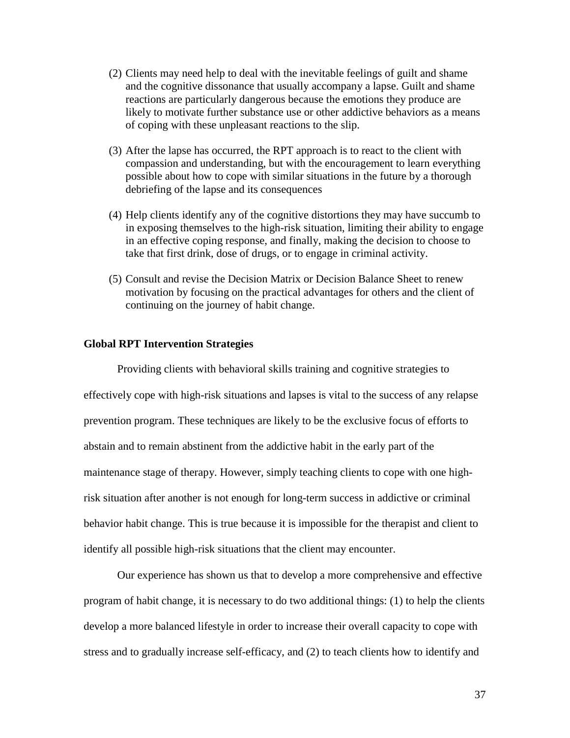- (2) Clients may need help to deal with the inevitable feelings of guilt and shame and the cognitive dissonance that usually accompany a lapse. Guilt and shame reactions are particularly dangerous because the emotions they produce are likely to motivate further substance use or other addictive behaviors as a means of coping with these unpleasant reactions to the slip.
- (3) After the lapse has occurred, the RPT approach is to react to the client with compassion and understanding, but with the encouragement to learn everything possible about how to cope with similar situations in the future by a thorough debriefing of the lapse and its consequences
- (4) Help clients identify any of the cognitive distortions they may have succumb to in exposing themselves to the high-risk situation, limiting their ability to engage in an effective coping response, and finally, making the decision to choose to take that first drink, dose of drugs, or to engage in criminal activity.
- (5) Consult and revise the Decision Matrix or Decision Balance Sheet to renew motivation by focusing on the practical advantages for others and the client of continuing on the journey of habit change.

## **Global RPT Intervention Strategies**

Providing clients with behavioral skills training and cognitive strategies to effectively cope with high-risk situations and lapses is vital to the success of any relapse prevention program. These techniques are likely to be the exclusive focus of efforts to abstain and to remain abstinent from the addictive habit in the early part of the maintenance stage of therapy. However, simply teaching clients to cope with one highrisk situation after another is not enough for long-term success in addictive or criminal behavior habit change. This is true because it is impossible for the therapist and client to identify all possible high-risk situations that the client may encounter.

Our experience has shown us that to develop a more comprehensive and effective program of habit change, it is necessary to do two additional things: (1) to help the clients develop a more balanced lifestyle in order to increase their overall capacity to cope with stress and to gradually increase self-efficacy, and (2) to teach clients how to identify and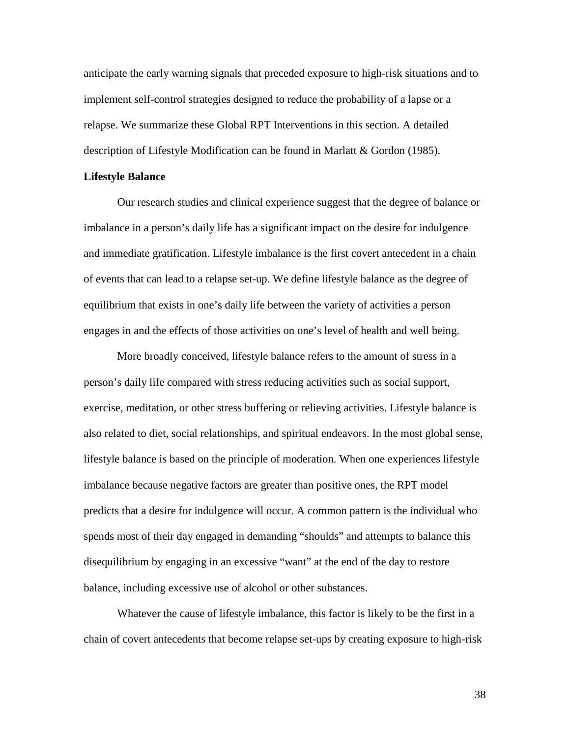anticipate the early warning signals that preceded exposure to high-risk situations and to implement self-control strategies designed to reduce the probability of a lapse or a relapse. We summarize these Global RPT Interventions in this section. A detailed description of Lifestyle Modification can be found in Marlatt & Gordon (1985).

#### **Lifestyle Balance**

Our research studies and clinical experience suggest that the degree of balance or imbalance in a person's daily life has a significant impact on the desire for indulgence and immediate gratification. Lifestyle imbalance is the first covert antecedent in a chain of events that can lead to a relapse set-up. We define lifestyle balance as the degree of equilibrium that exists in one's daily life between the variety of activities a person engages in and the effects of those activities on one's level of health and well being.

More broadly conceived, lifestyle balance refers to the amount of stress in a person's daily life compared with stress reducing activities such as social support, exercise, meditation, or other stress buffering or relieving activities. Lifestyle balance is also related to diet, social relationships, and spiritual endeavors. In the most global sense, lifestyle balance is based on the principle of moderation. When one experiences lifestyle imbalance because negative factors are greater than positive ones, the RPT model predicts that a desire for indulgence will occur. A common pattern is the individual who spends most of their day engaged in demanding "shoulds" and attempts to balance this disequilibrium by engaging in an excessive "want" at the end of the day to restore balance, including excessive use of alcohol or other substances.

Whatever the cause of lifestyle imbalance, this factor is likely to be the first in a chain of covert antecedents that become relapse set-ups by creating exposure to high-risk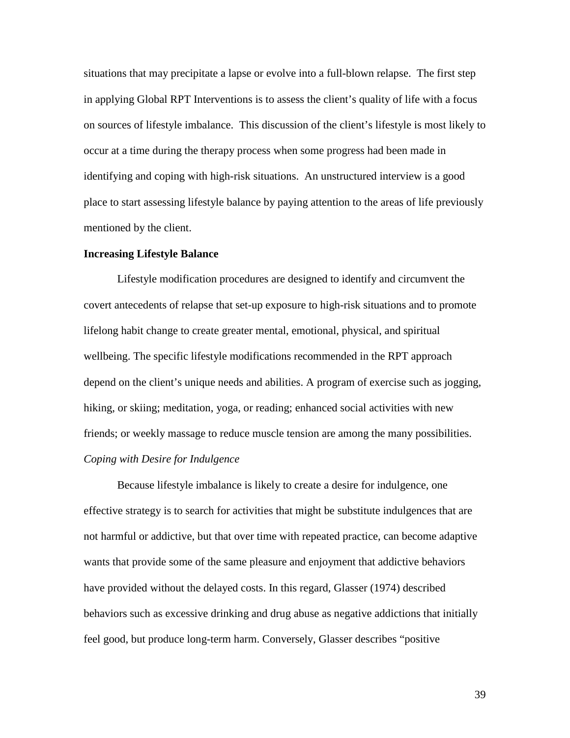situations that may precipitate a lapse or evolve into a full-blown relapse. The first step in applying Global RPT Interventions is to assess the client's quality of life with a focus on sources of lifestyle imbalance. This discussion of the client's lifestyle is most likely to occur at a time during the therapy process when some progress had been made in identifying and coping with high-risk situations. An unstructured interview is a good place to start assessing lifestyle balance by paying attention to the areas of life previously mentioned by the client.

#### **Increasing Lifestyle Balance**

Lifestyle modification procedures are designed to identify and circumvent the covert antecedents of relapse that set-up exposure to high-risk situations and to promote lifelong habit change to create greater mental, emotional, physical, and spiritual wellbeing. The specific lifestyle modifications recommended in the RPT approach depend on the client's unique needs and abilities. A program of exercise such as jogging, hiking, or skiing; meditation, yoga, or reading; enhanced social activities with new friends; or weekly massage to reduce muscle tension are among the many possibilities. *Coping with Desire for Indulgence*

Because lifestyle imbalance is likely to create a desire for indulgence, one effective strategy is to search for activities that might be substitute indulgences that are not harmful or addictive, but that over time with repeated practice, can become adaptive wants that provide some of the same pleasure and enjoyment that addictive behaviors have provided without the delayed costs. In this regard, Glasser (1974) described behaviors such as excessive drinking and drug abuse as negative addictions that initially feel good, but produce long-term harm. Conversely, Glasser describes "positive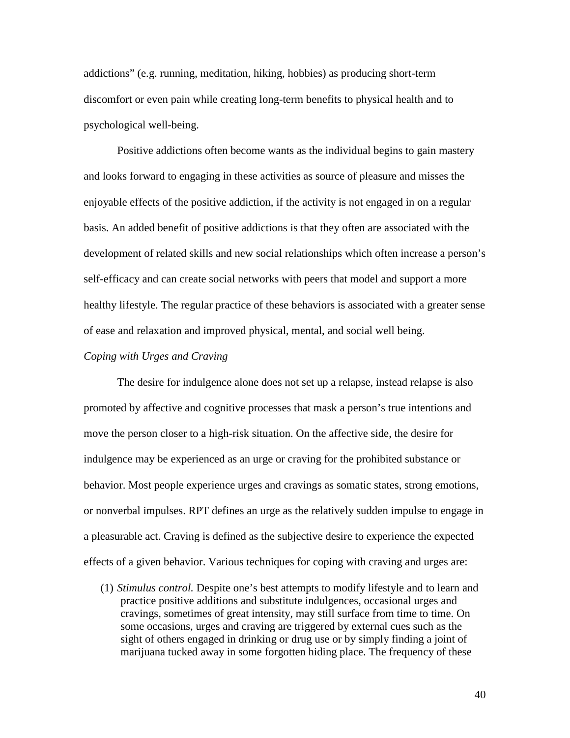addictions" (e.g. running, meditation, hiking, hobbies) as producing short-term discomfort or even pain while creating long-term benefits to physical health and to psychological well-being.

Positive addictions often become wants as the individual begins to gain mastery and looks forward to engaging in these activities as source of pleasure and misses the enjoyable effects of the positive addiction, if the activity is not engaged in on a regular basis. An added benefit of positive addictions is that they often are associated with the development of related skills and new social relationships which often increase a person's self-efficacy and can create social networks with peers that model and support a more healthy lifestyle. The regular practice of these behaviors is associated with a greater sense of ease and relaxation and improved physical, mental, and social well being.

# *Coping with Urges and Craving*

The desire for indulgence alone does not set up a relapse, instead relapse is also promoted by affective and cognitive processes that mask a person's true intentions and move the person closer to a high-risk situation. On the affective side, the desire for indulgence may be experienced as an urge or craving for the prohibited substance or behavior. Most people experience urges and cravings as somatic states, strong emotions, or nonverbal impulses. RPT defines an urge as the relatively sudden impulse to engage in a pleasurable act. Craving is defined as the subjective desire to experience the expected effects of a given behavior. Various techniques for coping with craving and urges are:

(1) *Stimulus control.* Despite one's best attempts to modify lifestyle and to learn and practice positive additions and substitute indulgences, occasional urges and cravings, sometimes of great intensity, may still surface from time to time. On some occasions, urges and craving are triggered by external cues such as the sight of others engaged in drinking or drug use or by simply finding a joint of marijuana tucked away in some forgotten hiding place. The frequency of these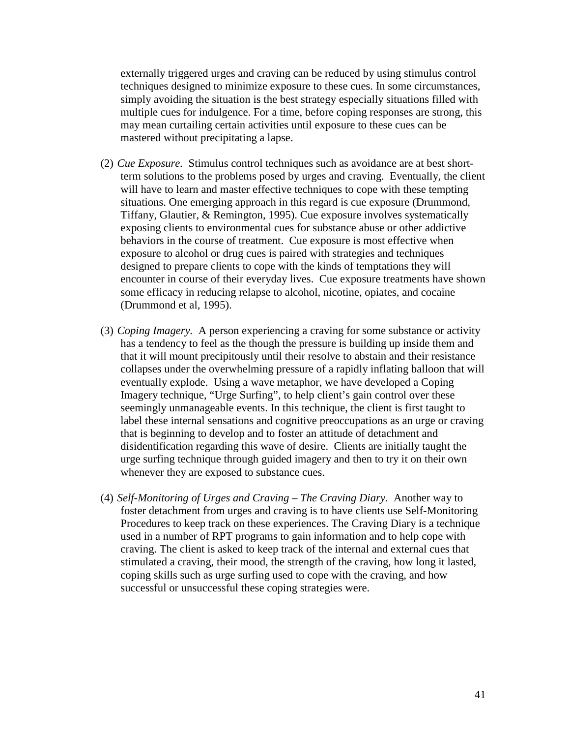externally triggered urges and craving can be reduced by using stimulus control techniques designed to minimize exposure to these cues. In some circumstances, simply avoiding the situation is the best strategy especially situations filled with multiple cues for indulgence. For a time, before coping responses are strong, this may mean curtailing certain activities until exposure to these cues can be mastered without precipitating a lapse.

- (2) *Cue Exposure.* Stimulus control techniques such as avoidance are at best shortterm solutions to the problems posed by urges and craving. Eventually, the client will have to learn and master effective techniques to cope with these tempting situations. One emerging approach in this regard is cue exposure (Drummond, Tiffany, Glautier, & Remington, 1995). Cue exposure involves systematically exposing clients to environmental cues for substance abuse or other addictive behaviors in the course of treatment. Cue exposure is most effective when exposure to alcohol or drug cues is paired with strategies and techniques designed to prepare clients to cope with the kinds of temptations they will encounter in course of their everyday lives. Cue exposure treatments have shown some efficacy in reducing relapse to alcohol, nicotine, opiates, and cocaine (Drummond et al, 1995).
- (3) *Coping Imagery.* A person experiencing a craving for some substance or activity has a tendency to feel as the though the pressure is building up inside them and that it will mount precipitously until their resolve to abstain and their resistance collapses under the overwhelming pressure of a rapidly inflating balloon that will eventually explode. Using a wave metaphor, we have developed a Coping Imagery technique, "Urge Surfing", to help client's gain control over these seemingly unmanageable events. In this technique, the client is first taught to label these internal sensations and cognitive preoccupations as an urge or craving that is beginning to develop and to foster an attitude of detachment and disidentification regarding this wave of desire. Clients are initially taught the urge surfing technique through guided imagery and then to try it on their own whenever they are exposed to substance cues.
- (4) *Self-Monitoring of Urges and Craving The Craving Diary.* Another way to foster detachment from urges and craving is to have clients use Self-Monitoring Procedures to keep track on these experiences. The Craving Diary is a technique used in a number of RPT programs to gain information and to help cope with craving. The client is asked to keep track of the internal and external cues that stimulated a craving, their mood, the strength of the craving, how long it lasted, coping skills such as urge surfing used to cope with the craving, and how successful or unsuccessful these coping strategies were.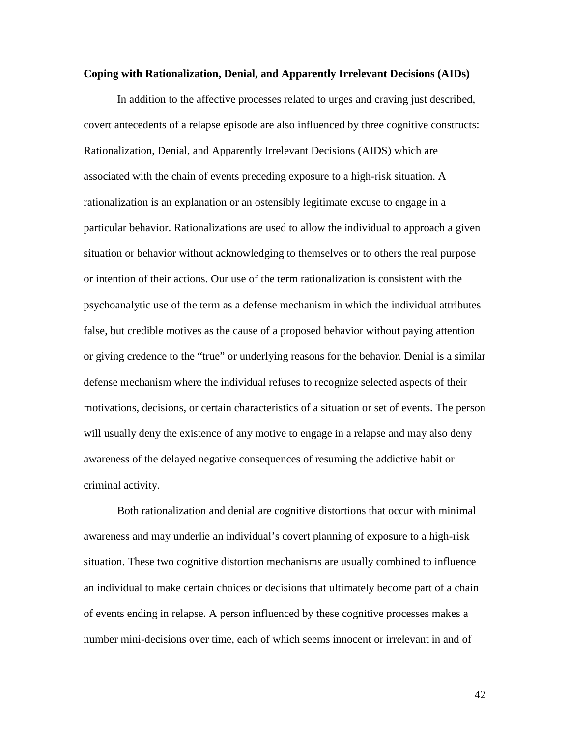#### **Coping with Rationalization, Denial, and Apparently Irrelevant Decisions (AIDs)**

In addition to the affective processes related to urges and craving just described, covert antecedents of a relapse episode are also influenced by three cognitive constructs: Rationalization, Denial, and Apparently Irrelevant Decisions (AIDS) which are associated with the chain of events preceding exposure to a high-risk situation. A rationalization is an explanation or an ostensibly legitimate excuse to engage in a particular behavior. Rationalizations are used to allow the individual to approach a given situation or behavior without acknowledging to themselves or to others the real purpose or intention of their actions. Our use of the term rationalization is consistent with the psychoanalytic use of the term as a defense mechanism in which the individual attributes false, but credible motives as the cause of a proposed behavior without paying attention or giving credence to the "true" or underlying reasons for the behavior. Denial is a similar defense mechanism where the individual refuses to recognize selected aspects of their motivations, decisions, or certain characteristics of a situation or set of events. The person will usually deny the existence of any motive to engage in a relapse and may also deny awareness of the delayed negative consequences of resuming the addictive habit or criminal activity.

Both rationalization and denial are cognitive distortions that occur with minimal awareness and may underlie an individual's covert planning of exposure to a high-risk situation. These two cognitive distortion mechanisms are usually combined to influence an individual to make certain choices or decisions that ultimately become part of a chain of events ending in relapse. A person influenced by these cognitive processes makes a number mini-decisions over time, each of which seems innocent or irrelevant in and of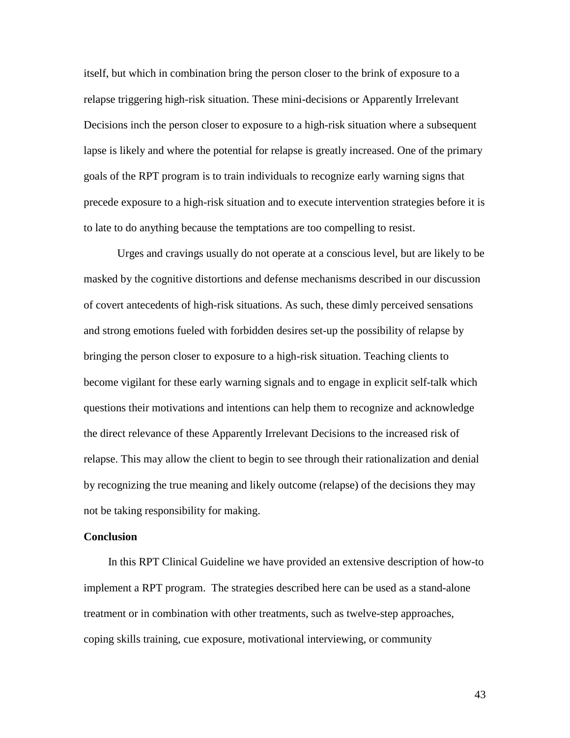itself, but which in combination bring the person closer to the brink of exposure to a relapse triggering high-risk situation. These mini-decisions or Apparently Irrelevant Decisions inch the person closer to exposure to a high-risk situation where a subsequent lapse is likely and where the potential for relapse is greatly increased. One of the primary goals of the RPT program is to train individuals to recognize early warning signs that precede exposure to a high-risk situation and to execute intervention strategies before it is to late to do anything because the temptations are too compelling to resist.

Urges and cravings usually do not operate at a conscious level, but are likely to be masked by the cognitive distortions and defense mechanisms described in our discussion of covert antecedents of high-risk situations. As such, these dimly perceived sensations and strong emotions fueled with forbidden desires set-up the possibility of relapse by bringing the person closer to exposure to a high-risk situation. Teaching clients to become vigilant for these early warning signals and to engage in explicit self-talk which questions their motivations and intentions can help them to recognize and acknowledge the direct relevance of these Apparently Irrelevant Decisions to the increased risk of relapse. This may allow the client to begin to see through their rationalization and denial by recognizing the true meaning and likely outcome (relapse) of the decisions they may not be taking responsibility for making.

#### **Conclusion**

 In this RPT Clinical Guideline we have provided an extensive description of how-to implement a RPT program. The strategies described here can be used as a stand-alone treatment or in combination with other treatments, such as twelve-step approaches, coping skills training, cue exposure, motivational interviewing, or community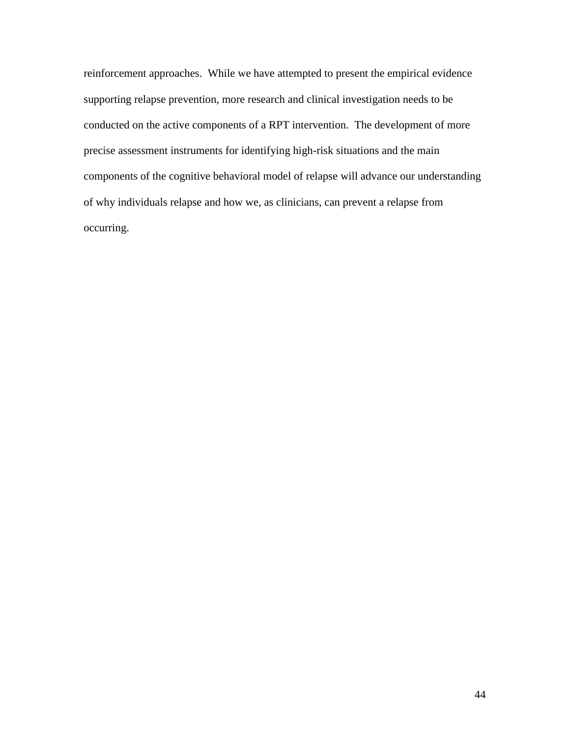reinforcement approaches. While we have attempted to present the empirical evidence supporting relapse prevention, more research and clinical investigation needs to be conducted on the active components of a RPT intervention. The development of more precise assessment instruments for identifying high-risk situations and the main components of the cognitive behavioral model of relapse will advance our understanding of why individuals relapse and how we, as clinicians, can prevent a relapse from occurring.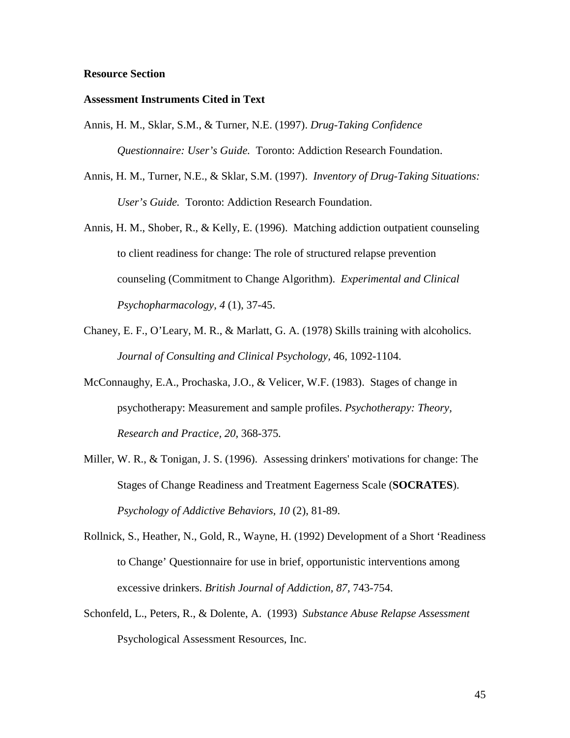### **Resource Section**

#### **Assessment Instruments Cited in Text**

- Annis, H. M., Sklar, S.M., & Turner, N.E. (1997). *Drug-Taking Confidence Questionnaire: User's Guide.* Toronto: Addiction Research Foundation.
- Annis, H. M., Turner, N.E., & Sklar, S.M. (1997). *Inventory of Drug-Taking Situations: User's Guide.* Toronto: Addiction Research Foundation.
- Annis, H. M., Shober, R., & Kelly, E. (1996). Matching addiction outpatient counseling to client readiness for change: The role of structured relapse prevention counseling (Commitment to Change Algorithm). *Experimental and Clinical Psychopharmacology, 4* (1), 37-45.
- Chaney, E. F., O'Leary, M. R., & Marlatt, G. A. (1978) Skills training with alcoholics. *Journal of Consulting and Clinical Psychology,* 46, 1092-1104.
- McConnaughy, E.A., Prochaska, J.O., & Velicer, W.F. (1983). Stages of change in psychotherapy: Measurement and sample profiles. *Psychotherapy: Theory, Research and Practice, 20,* 368-375*.*
- Miller, W. R., & Tonigan, J. S. (1996). Assessing drinkers' motivations for change: The Stages of Change Readiness and Treatment Eagerness Scale (**SOCRATES**). *Psychology of Addictive Behaviors, 10* (2), 81-89.
- Rollnick, S., Heather, N., Gold, R., Wayne, H. (1992) Development of a Short 'Readiness to Change' Questionnaire for use in brief, opportunistic interventions among excessive drinkers. *British Journal of Addiction, 87,* 743-754.
- Schonfeld, L., Peters, R., & Dolente, A. (1993) *Substance Abuse Relapse Assessment* Psychological Assessment Resources, Inc.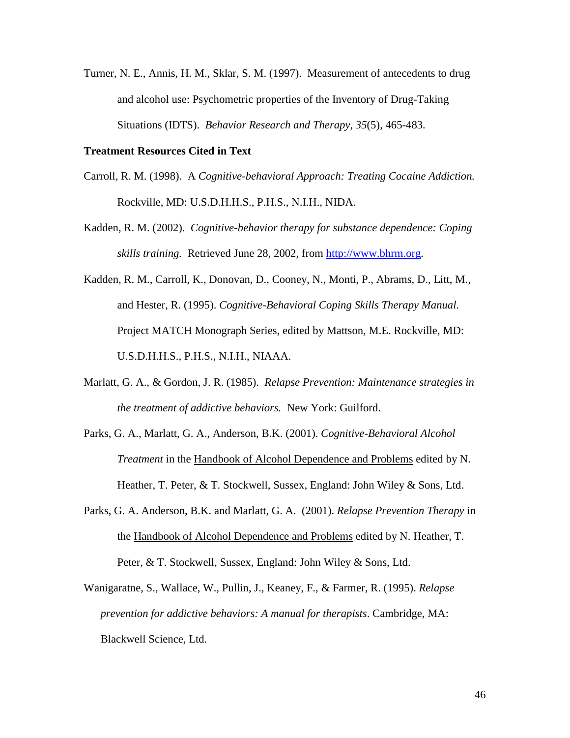Turner, N. E., Annis, H. M., Sklar, S. M. (1997). Measurement of antecedents to drug and alcohol use: Psychometric properties of the Inventory of Drug-Taking Situations (IDTS). *Behavior Research and Therapy, 35*(5), 465-483.

## **Treatment Resources Cited in Text**

- Carroll, R. M. (1998). A *Cognitive-behavioral Approach: Treating Cocaine Addiction.* Rockville, MD: U.S.D.H.H.S., P.H.S., N.I.H., NIDA.
- Kadden, R. M. (2002). *Cognitive-behavior therapy for substance dependence: Coping skills training.* Retrieved June 28, 2002, from [http://www.bhrm.org.](http://www.bhrm.org/)
- Kadden, R. M., Carroll, K., Donovan, D., Cooney, N., Monti, P., Abrams, D., Litt, M., and Hester, R. (1995). *Cognitive-Behavioral Coping Skills Therapy Manual*. Project MATCH Monograph Series, edited by Mattson, M.E. Rockville, MD: U.S.D.H.H.S., P.H.S., N.I.H., NIAAA.
- Marlatt, G. A., & Gordon, J. R. (1985). *Relapse Prevention: Maintenance strategies in the treatment of addictive behaviors.* New York: Guilford.
- Parks, G. A., Marlatt, G. A., Anderson, B.K. (2001). *Cognitive-Behavioral Alcohol Treatment* in the Handbook of Alcohol Dependence and Problems edited by N. Heather, T. Peter, & T. Stockwell, Sussex, England: John Wiley & Sons, Ltd.
- Parks, G. A. Anderson, B.K. and Marlatt, G. A. (2001). *Relapse Prevention Therapy* in the Handbook of Alcohol Dependence and Problems edited by N. Heather, T. Peter, & T. Stockwell, Sussex, England: John Wiley & Sons, Ltd.
- Wanigaratne, S., Wallace, W., Pullin, J., Keaney, F., & Farmer, R. (1995). *Relapse prevention for addictive behaviors: A manual for therapists*. Cambridge, MA: Blackwell Science, Ltd.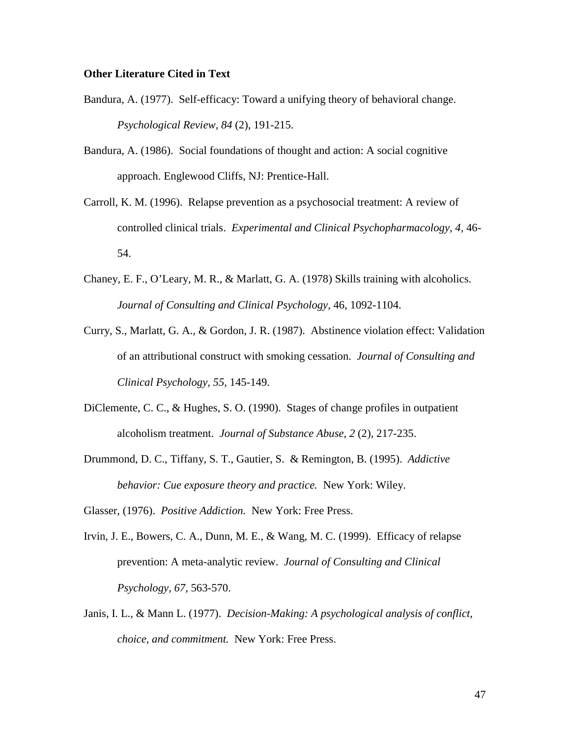# **Other Literature Cited in Text**

- Bandura, A. (1977). Self-efficacy: Toward a unifying theory of behavioral change. *Psychological Review, 84* (2), 191-215.
- Bandura, A. (1986). Social foundations of thought and action: A social cognitive approach. Englewood Cliffs, NJ: Prentice-Hall.
- Carroll, K. M. (1996). Relapse prevention as a psychosocial treatment: A review of controlled clinical trials. *Experimental and Clinical Psychopharmacology, 4,* 46- 54.
- Chaney, E. F., O'Leary, M. R., & Marlatt, G. A. (1978) Skills training with alcoholics. *Journal of Consulting and Clinical Psychology,* 46, 1092-1104.
- Curry, S., Marlatt, G. A., & Gordon, J. R. (1987). Abstinence violation effect: Validation of an attributional construct with smoking cessation. *Journal of Consulting and Clinical Psychology, 55,* 145-149.
- DiClemente, C. C., & Hughes, S. O. (1990). Stages of change profiles in outpatient alcoholism treatment. *Journal of Substance Abuse, 2* (2), 217-235.
- Drummond, D. C., Tiffany, S. T., Gautier, S. & Remington, B. (1995). *Addictive behavior: Cue exposure theory and practice.* New York: Wiley.

Glasser, (1976). *Positive Addiction.* New York: Free Press.

- Irvin, J. E., Bowers, C. A., Dunn, M. E., & Wang, M. C. (1999). Efficacy of relapse prevention: A meta-analytic review. *Journal of Consulting and Clinical Psychology, 67,* 563-570.
- Janis, I. L., & Mann L. (1977). *Decision-Making: A psychological analysis of conflict, choice, and commitment.* New York: Free Press.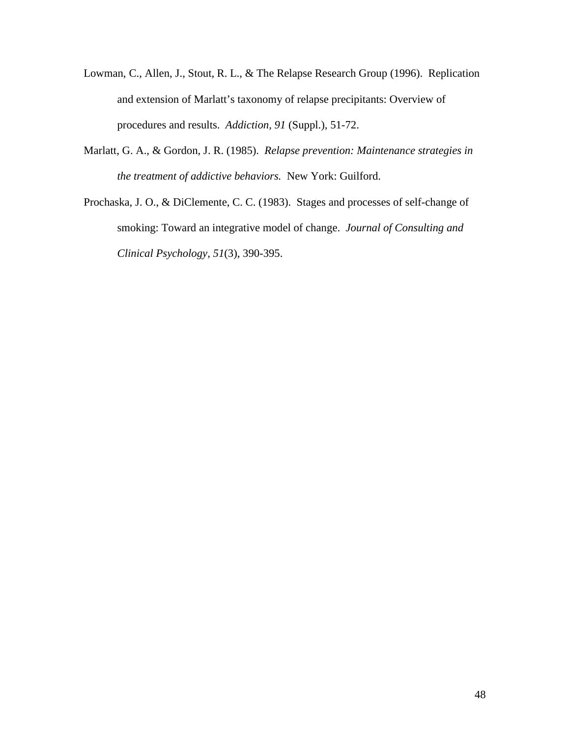- Lowman, C., Allen, J., Stout, R. L., & The Relapse Research Group (1996). Replication and extension of Marlatt's taxonomy of relapse precipitants: Overview of procedures and results. *Addiction, 91* (Suppl.)*,* 51-72.
- Marlatt, G. A., & Gordon, J. R. (1985). *Relapse prevention: Maintenance strategies in the treatment of addictive behaviors.* New York: Guilford.
- Prochaska, J. O., & DiClemente, C. C. (1983). Stages and processes of self-change of smoking: Toward an integrative model of change. *Journal of Consulting and Clinical Psychology, 51*(3), 390-395.